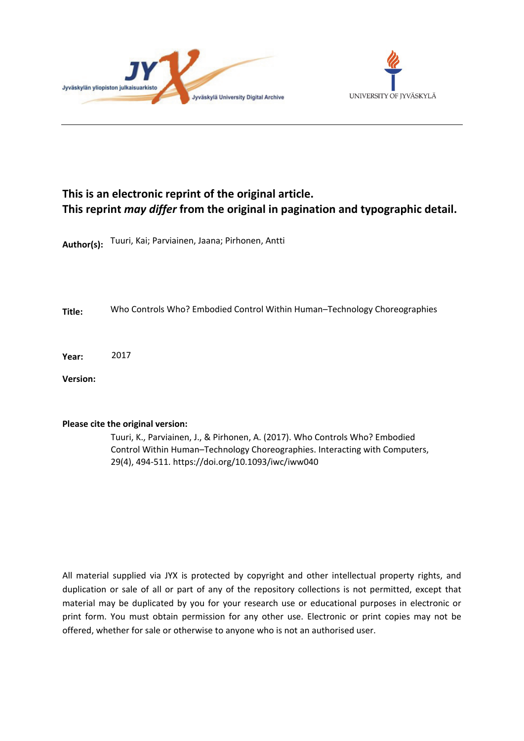



## **This is an electronic reprint of the original article. This reprint** *may differ* **from the original in pagination and typographic detail.**

**Author(s):**  Tuuri, Kai; Parviainen, Jaana; Pirhonen, Antti

**Title:** Who Controls Who? Embodied Control Within Human–Technology Choreographies

**Year:**  2017

**Version:**

#### **Please cite the original version:**

Tuuri, K., Parviainen, J., & Pirhonen, A. (2017). Who Controls Who? Embodied Control Within Human–Technology Choreographies. Interacting with Computers, 29(4), 494-511. https://doi.org/10.1093/iwc/iww040

All material supplied via JYX is protected by copyright and other intellectual property rights, and duplication or sale of all or part of any of the repository collections is not permitted, except that material may be duplicated by you for your research use or educational purposes in electronic or print form. You must obtain permission for any other use. Electronic or print copies may not be offered, whether for sale or otherwise to anyone who is not an authorised user.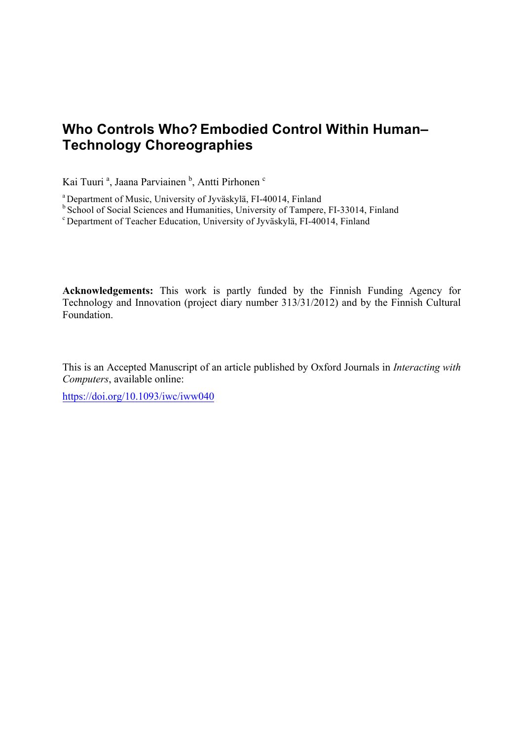## **Who Controls Who? Embodied Control Within Human– Technology Choreographies**

Kai Tuuri<sup>a</sup>, Jaana Parviainen <sup>b</sup>, Antti Pirhonen <sup>c</sup>

a Department of Music, University of Jyväskylä, FI-40014, Finland

<sup>b</sup> School of Social Sciences and Humanities, University of Tampere, FI-33014, Finland <sup>c</sup> Department of Teacher Education, University of Jyväskylä, FI-40014, Finland

**Acknowledgements:** This work is partly funded by the Finnish Funding Agency for Technology and Innovation (project diary number 313/31/2012) and by the Finnish Cultural Foundation.

This is an Accepted Manuscript of an article published by Oxford Journals in *Interacting with Computers*, available online:

https://doi.org/10.1093/iwc/iww040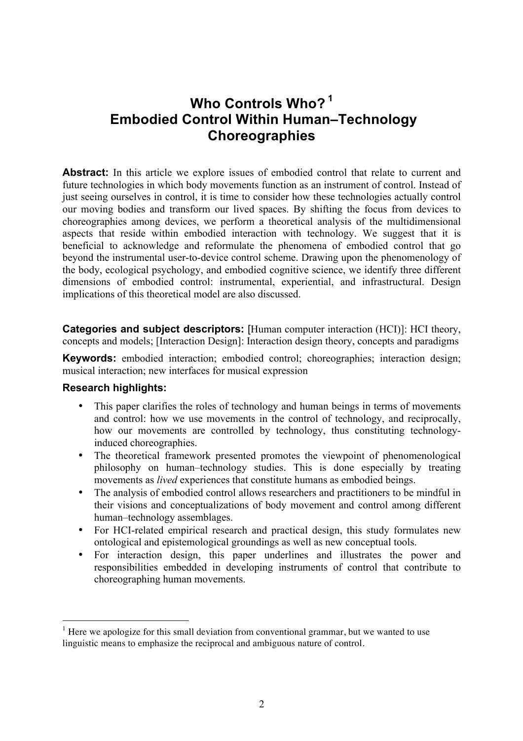# **Who Controls Who? <sup>1</sup> Embodied Control Within Human–Technology Choreographies**

**Abstract:** In this article we explore issues of embodied control that relate to current and future technologies in which body movements function as an instrument of control. Instead of just seeing ourselves in control, it is time to consider how these technologies actually control our moving bodies and transform our lived spaces. By shifting the focus from devices to choreographies among devices, we perform a theoretical analysis of the multidimensional aspects that reside within embodied interaction with technology. We suggest that it is beneficial to acknowledge and reformulate the phenomena of embodied control that go beyond the instrumental user-to-device control scheme. Drawing upon the phenomenology of the body, ecological psychology, and embodied cognitive science, we identify three different dimensions of embodied control: instrumental, experiential, and infrastructural. Design implications of this theoretical model are also discussed.

**Categories and subject descriptors:** [Human computer interaction (HCI)]: HCI theory, concepts and models; [Interaction Design]: Interaction design theory, concepts and paradigms

**Keywords:** embodied interaction; embodied control; choreographies; interaction design; musical interaction; new interfaces for musical expression

## **Research highlights:**

 $\overline{a}$ 

- This paper clarifies the roles of technology and human beings in terms of movements and control: how we use movements in the control of technology, and reciprocally, how our movements are controlled by technology, thus constituting technologyinduced choreographies.
- The theoretical framework presented promotes the viewpoint of phenomenological philosophy on human–technology studies. This is done especially by treating movements as *lived* experiences that constitute humans as embodied beings.
- The analysis of embodied control allows researchers and practitioners to be mindful in their visions and conceptualizations of body movement and control among different human–technology assemblages.
- For HCI-related empirical research and practical design, this study formulates new ontological and epistemological groundings as well as new conceptual tools.
- For interaction design, this paper underlines and illustrates the power and responsibilities embedded in developing instruments of control that contribute to choreographing human movements.

 $1$  Here we apologize for this small deviation from conventional grammar, but we wanted to use linguistic means to emphasize the reciprocal and ambiguous nature of control.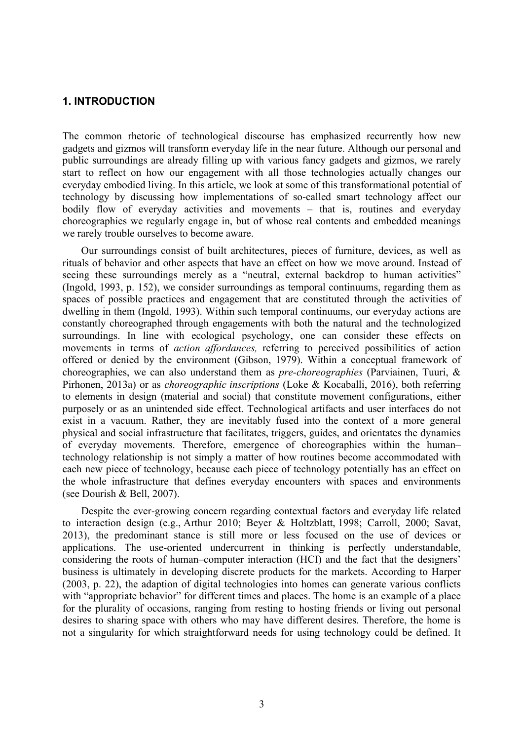### **1. INTRODUCTION**

The common rhetoric of technological discourse has emphasized recurrently how new gadgets and gizmos will transform everyday life in the near future. Although our personal and public surroundings are already filling up with various fancy gadgets and gizmos, we rarely start to reflect on how our engagement with all those technologies actually changes our everyday embodied living. In this article, we look at some of this transformational potential of technology by discussing how implementations of so-called smart technology affect our bodily flow of everyday activities and movements – that is, routines and everyday choreographies we regularly engage in, but of whose real contents and embedded meanings we rarely trouble ourselves to become aware.

Our surroundings consist of built architectures, pieces of furniture, devices, as well as rituals of behavior and other aspects that have an effect on how we move around. Instead of seeing these surroundings merely as a "neutral, external backdrop to human activities" (Ingold, 1993, p. 152), we consider surroundings as temporal continuums, regarding them as spaces of possible practices and engagement that are constituted through the activities of dwelling in them (Ingold, 1993). Within such temporal continuums, our everyday actions are constantly choreographed through engagements with both the natural and the technologized surroundings. In line with ecological psychology, one can consider these effects on movements in terms of *action affordances,* referring to perceived possibilities of action offered or denied by the environment (Gibson, 1979). Within a conceptual framework of choreographies, we can also understand them as *pre-choreographies* (Parviainen, Tuuri, & Pirhonen, 2013a) or as *choreographic inscriptions* (Loke & Kocaballi, 2016), both referring to elements in design (material and social) that constitute movement configurations, either purposely or as an unintended side effect. Technological artifacts and user interfaces do not exist in a vacuum. Rather, they are inevitably fused into the context of a more general physical and social infrastructure that facilitates, triggers, guides, and orientates the dynamics of everyday movements. Therefore, emergence of choreographies within the human– technology relationship is not simply a matter of how routines become accommodated with each new piece of technology, because each piece of technology potentially has an effect on the whole infrastructure that defines everyday encounters with spaces and environments (see Dourish & Bell, 2007).

Despite the ever-growing concern regarding contextual factors and everyday life related to interaction design (e.g., Arthur 2010; Beyer & Holtzblatt, 1998; Carroll, 2000; Savat, 2013), the predominant stance is still more or less focused on the use of devices or applications. The use-oriented undercurrent in thinking is perfectly understandable, considering the roots of human–computer interaction (HCI) and the fact that the designers' business is ultimately in developing discrete products for the markets. According to Harper (2003, p. 22), the adaption of digital technologies into homes can generate various conflicts with "appropriate behavior" for different times and places. The home is an example of a place for the plurality of occasions, ranging from resting to hosting friends or living out personal desires to sharing space with others who may have different desires. Therefore, the home is not a singularity for which straightforward needs for using technology could be defined. It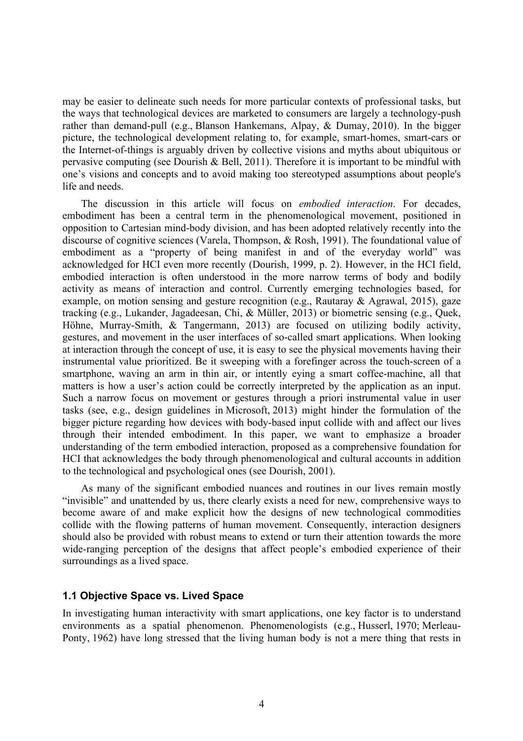may be easier to delineate such needs for more particular contexts of professional tasks, but the ways that technological devices are marketed to consumers are largely a technology-push rather than demand-pull (e.g., Blanson Hankemans, Alpay, & Dumay, 2010). In the bigger picture, the technological development relating to, for example, smart-homes, smart-cars or the Internet-of-things is arguably driven by collective visions and myths about ubiquitous or pervasive computing (see Dourish  $\&$  Bell, 2011). Therefore it is important to be mindful with one's visions and concepts and to avoid making too stereotyped assumptions about people's life and needs.

The discussion in this article will focus on *embodied interaction*. For decades, embodiment has been a central term in the phenomenological movement, positioned in opposition to Cartesian mind-body division, and has been adopted relatively recently into the discourse of cognitive sciences (Varela, Thompson, & Rosh, 1991). The foundational value of embodiment as a "property of being manifest in and of the everyday world" was acknowledged for HCI even more recently (Dourish, 1999, p. 2). However, in the HCI field, embodied interaction is often understood in the more narrow terms of body and bodily activity as means of interaction and control. Currently emerging technologies based, for example, on motion sensing and gesture recognition (e.g., Rautaray & Agrawal, 2015), gaze tracking (e.g., Lukander, Jagadeesan, Chi, & Müller, 2013) or biometric sensing (e.g., Quek, Höhne, Murray-Smith, & Tangermann, 2013) are focused on utilizing bodily activity, gestures, and movement in the user interfaces of so-called smart applications. When looking at interaction through the concept of use, it is easy to see the physical movements having their instrumental value prioritized. Be it sweeping with a forefinger across the touch-screen of a smartphone, waving an arm in thin air, or intently eying a smart coffee-machine, all that matters is how a user's action could be correctly interpreted by the application as an input. Such a narrow focus on movement or gestures through a priori instrumental value in user tasks (see, e.g., design guidelines in Microsoft, 2013) might hinder the formulation of the bigger picture regarding how devices with body-based input collide with and affect our lives through their intended embodiment. In this paper, we want to emphasize a broader understanding of the term embodied interaction, proposed as a comprehensive foundation for HCI that acknowledges the body through phenomenological and cultural accounts in addition to the technological and psychological ones (see Dourish, 2001).

As many of the significant embodied nuances and routines in our lives remain mostly "invisible" and unattended by us, there clearly exists a need for new, comprehensive ways to become aware of and make explicit how the designs of new technological commodities collide with the flowing patterns of human movement. Consequently, interaction designers should also be provided with robust means to extend or turn their attention towards the more wide-ranging perception of the designs that affect people's embodied experience of their surroundings as a lived space.

## **1.1 Objective Space vs. Lived Space**

In investigating human interactivity with smart applications, one key factor is to understand environments as a spatial phenomenon. Phenomenologists (e.g., Husserl, 1970; Merleau-Ponty, 1962) have long stressed that the living human body is not a mere thing that rests in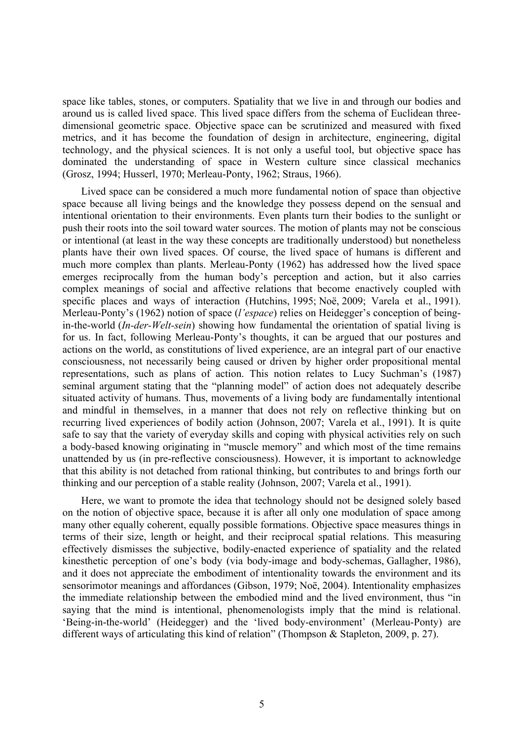space like tables, stones, or computers. Spatiality that we live in and through our bodies and around us is called lived space. This lived space differs from the schema of Euclidean threedimensional geometric space. Objective space can be scrutinized and measured with fixed metrics, and it has become the foundation of design in architecture, engineering, digital technology, and the physical sciences. It is not only a useful tool, but objective space has dominated the understanding of space in Western culture since classical mechanics (Grosz, 1994; Husserl, 1970; Merleau-Ponty, 1962; Straus, 1966).

Lived space can be considered a much more fundamental notion of space than objective space because all living beings and the knowledge they possess depend on the sensual and intentional orientation to their environments. Even plants turn their bodies to the sunlight or push their roots into the soil toward water sources. The motion of plants may not be conscious or intentional (at least in the way these concepts are traditionally understood) but nonetheless plants have their own lived spaces. Of course, the lived space of humans is different and much more complex than plants. Merleau-Ponty (1962) has addressed how the lived space emerges reciprocally from the human body's perception and action, but it also carries complex meanings of social and affective relations that become enactively coupled with specific places and ways of interaction (Hutchins, 1995; Noë, 2009; Varela et al., 1991). Merleau-Ponty's (1962) notion of space (*l'espace*) relies on Heidegger's conception of beingin-the-world (*In-der-Welt-sein*) showing how fundamental the orientation of spatial living is for us. In fact, following Merleau-Ponty's thoughts, it can be argued that our postures and actions on the world, as constitutions of lived experience, are an integral part of our enactive consciousness, not necessarily being caused or driven by higher order propositional mental representations, such as plans of action. This notion relates to Lucy Suchman's (1987) seminal argument stating that the "planning model" of action does not adequately describe situated activity of humans. Thus, movements of a living body are fundamentally intentional and mindful in themselves, in a manner that does not rely on reflective thinking but on recurring lived experiences of bodily action (Johnson, 2007; Varela et al., 1991). It is quite safe to say that the variety of everyday skills and coping with physical activities rely on such a body-based knowing originating in "muscle memory" and which most of the time remains unattended by us (in pre-reflective consciousness). However, it is important to acknowledge that this ability is not detached from rational thinking, but contributes to and brings forth our thinking and our perception of a stable reality (Johnson, 2007; Varela et al., 1991).

Here, we want to promote the idea that technology should not be designed solely based on the notion of objective space, because it is after all only one modulation of space among many other equally coherent, equally possible formations. Objective space measures things in terms of their size, length or height, and their reciprocal spatial relations. This measuring effectively dismisses the subjective, bodily-enacted experience of spatiality and the related kinesthetic perception of one's body (via body-image and body-schemas, Gallagher, 1986), and it does not appreciate the embodiment of intentionality towards the environment and its sensorimotor meanings and affordances (Gibson, 1979; Noë, 2004). Intentionality emphasizes the immediate relationship between the embodied mind and the lived environment, thus "in saying that the mind is intentional, phenomenologists imply that the mind is relational. 'Being-in-the-world' (Heidegger) and the 'lived body-environment' (Merleau-Ponty) are different ways of articulating this kind of relation" (Thompson & Stapleton, 2009, p. 27).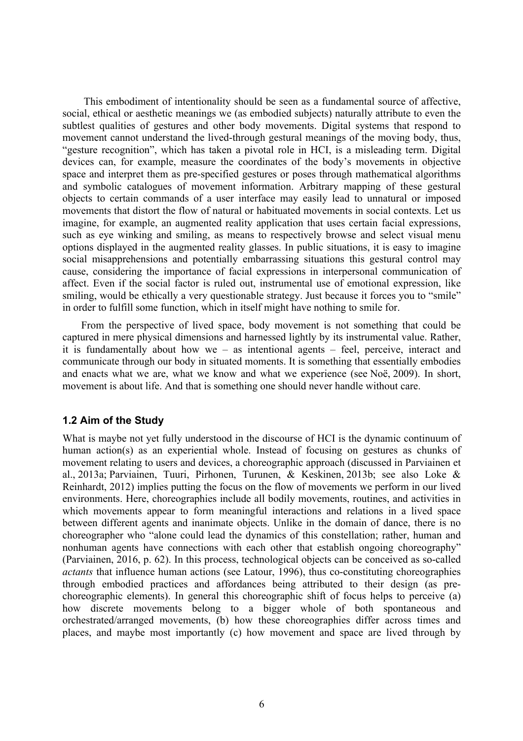This embodiment of intentionality should be seen as a fundamental source of affective, social, ethical or aesthetic meanings we (as embodied subjects) naturally attribute to even the subtlest qualities of gestures and other body movements. Digital systems that respond to movement cannot understand the lived-through gestural meanings of the moving body, thus, "gesture recognition", which has taken a pivotal role in HCI, is a misleading term. Digital devices can, for example, measure the coordinates of the body's movements in objective space and interpret them as pre-specified gestures or poses through mathematical algorithms and symbolic catalogues of movement information. Arbitrary mapping of these gestural objects to certain commands of a user interface may easily lead to unnatural or imposed movements that distort the flow of natural or habituated movements in social contexts. Let us imagine, for example, an augmented reality application that uses certain facial expressions, such as eye winking and smiling, as means to respectively browse and select visual menu options displayed in the augmented reality glasses. In public situations, it is easy to imagine social misapprehensions and potentially embarrassing situations this gestural control may cause, considering the importance of facial expressions in interpersonal communication of affect. Even if the social factor is ruled out, instrumental use of emotional expression, like smiling, would be ethically a very questionable strategy. Just because it forces you to "smile" in order to fulfill some function, which in itself might have nothing to smile for.

From the perspective of lived space, body movement is not something that could be captured in mere physical dimensions and harnessed lightly by its instrumental value. Rather, it is fundamentally about how we – as intentional agents – feel, perceive, interact and communicate through our body in situated moments. It is something that essentially embodies and enacts what we are, what we know and what we experience (see Noë, 2009). In short, movement is about life. And that is something one should never handle without care.

## **1.2 Aim of the Study**

What is maybe not yet fully understood in the discourse of HCI is the dynamic continuum of human action(s) as an experiential whole. Instead of focusing on gestures as chunks of movement relating to users and devices, a choreographic approach (discussed in Parviainen et al., 2013a; Parviainen, Tuuri, Pirhonen, Turunen, & Keskinen, 2013b; see also Loke & Reinhardt, 2012) implies putting the focus on the flow of movements we perform in our lived environments. Here, choreographies include all bodily movements, routines, and activities in which movements appear to form meaningful interactions and relations in a lived space between different agents and inanimate objects. Unlike in the domain of dance, there is no choreographer who "alone could lead the dynamics of this constellation; rather, human and nonhuman agents have connections with each other that establish ongoing choreography" (Parviainen, 2016, p. 62). In this process, technological objects can be conceived as so-called *actants* that influence human actions (see Latour, 1996), thus co-constituting choreographies through embodied practices and affordances being attributed to their design (as prechoreographic elements). In general this choreographic shift of focus helps to perceive (a) how discrete movements belong to a bigger whole of both spontaneous and orchestrated/arranged movements, (b) how these choreographies differ across times and places, and maybe most importantly (c) how movement and space are lived through by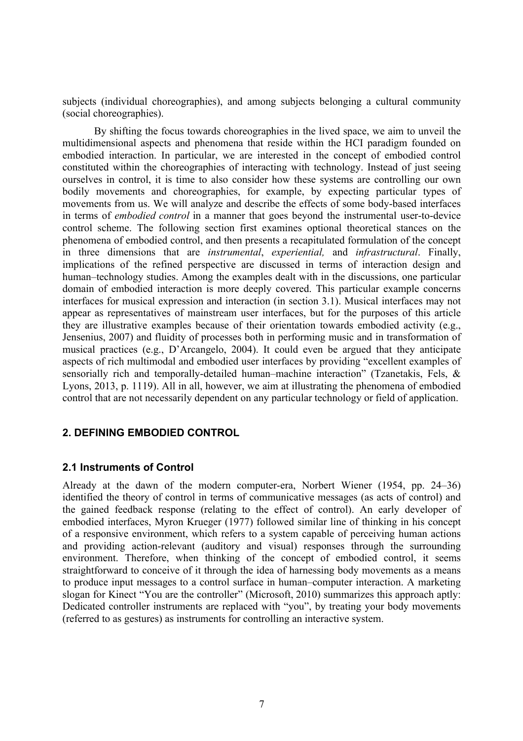subjects (individual choreographies), and among subjects belonging a cultural community (social choreographies).

By shifting the focus towards choreographies in the lived space, we aim to unveil the multidimensional aspects and phenomena that reside within the HCI paradigm founded on embodied interaction. In particular, we are interested in the concept of embodied control constituted within the choreographies of interacting with technology. Instead of just seeing ourselves in control, it is time to also consider how these systems are controlling our own bodily movements and choreographies, for example, by expecting particular types of movements from us. We will analyze and describe the effects of some body-based interfaces in terms of *embodied control* in a manner that goes beyond the instrumental user-to-device control scheme. The following section first examines optional theoretical stances on the phenomena of embodied control, and then presents a recapitulated formulation of the concept in three dimensions that are *instrumental*, *experiential,* and *infrastructural*. Finally, implications of the refined perspective are discussed in terms of interaction design and human–technology studies. Among the examples dealt with in the discussions, one particular domain of embodied interaction is more deeply covered. This particular example concerns interfaces for musical expression and interaction (in section 3.1). Musical interfaces may not appear as representatives of mainstream user interfaces, but for the purposes of this article they are illustrative examples because of their orientation towards embodied activity (e.g., Jensenius, 2007) and fluidity of processes both in performing music and in transformation of musical practices (e.g., D'Arcangelo, 2004). It could even be argued that they anticipate aspects of rich multimodal and embodied user interfaces by providing "excellent examples of sensorially rich and temporally-detailed human–machine interaction" (Tzanetakis, Fels, & Lyons, 2013, p. 1119). All in all, however, we aim at illustrating the phenomena of embodied control that are not necessarily dependent on any particular technology or field of application.

## **2. DEFINING EMBODIED CONTROL**

#### **2.1 Instruments of Control**

Already at the dawn of the modern computer-era, Norbert Wiener (1954, pp. 24–36) identified the theory of control in terms of communicative messages (as acts of control) and the gained feedback response (relating to the effect of control). An early developer of embodied interfaces, Myron Krueger (1977) followed similar line of thinking in his concept of a responsive environment, which refers to a system capable of perceiving human actions and providing action-relevant (auditory and visual) responses through the surrounding environment. Therefore, when thinking of the concept of embodied control, it seems straightforward to conceive of it through the idea of harnessing body movements as a means to produce input messages to a control surface in human–computer interaction. A marketing slogan for Kinect "You are the controller" (Microsoft, 2010) summarizes this approach aptly: Dedicated controller instruments are replaced with "you", by treating your body movements (referred to as gestures) as instruments for controlling an interactive system.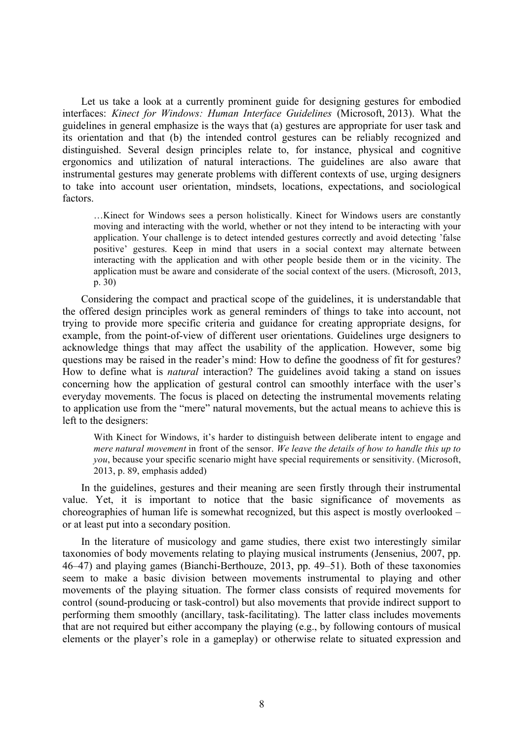Let us take a look at a currently prominent guide for designing gestures for embodied interfaces: *Kinect for Windows: Human Interface Guidelines* (Microsoft, 2013). What the guidelines in general emphasize is the ways that (a) gestures are appropriate for user task and its orientation and that (b) the intended control gestures can be reliably recognized and distinguished. Several design principles relate to, for instance, physical and cognitive ergonomics and utilization of natural interactions. The guidelines are also aware that instrumental gestures may generate problems with different contexts of use, urging designers to take into account user orientation, mindsets, locations, expectations, and sociological factors.

…Kinect for Windows sees a person holistically. Kinect for Windows users are constantly moving and interacting with the world, whether or not they intend to be interacting with your application. Your challenge is to detect intended gestures correctly and avoid detecting 'false positive' gestures. Keep in mind that users in a social context may alternate between interacting with the application and with other people beside them or in the vicinity. The application must be aware and considerate of the social context of the users. (Microsoft, 2013, p. 30)

Considering the compact and practical scope of the guidelines, it is understandable that the offered design principles work as general reminders of things to take into account, not trying to provide more specific criteria and guidance for creating appropriate designs, for example, from the point-of-view of different user orientations. Guidelines urge designers to acknowledge things that may affect the usability of the application. However, some big questions may be raised in the reader's mind: How to define the goodness of fit for gestures? How to define what is *natural* interaction? The guidelines avoid taking a stand on issues concerning how the application of gestural control can smoothly interface with the user's everyday movements. The focus is placed on detecting the instrumental movements relating to application use from the "mere" natural movements, but the actual means to achieve this is left to the designers:

With Kinect for Windows, it's harder to distinguish between deliberate intent to engage and *mere natural movement* in front of the sensor. *We leave the details of how to handle this up to you*, because your specific scenario might have special requirements or sensitivity. (Microsoft, 2013, p. 89, emphasis added)

In the guidelines, gestures and their meaning are seen firstly through their instrumental value. Yet, it is important to notice that the basic significance of movements as choreographies of human life is somewhat recognized, but this aspect is mostly overlooked – or at least put into a secondary position.

In the literature of musicology and game studies, there exist two interestingly similar taxonomies of body movements relating to playing musical instruments (Jensenius, 2007, pp. 46–47) and playing games (Bianchi-Berthouze, 2013, pp. 49–51). Both of these taxonomies seem to make a basic division between movements instrumental to playing and other movements of the playing situation. The former class consists of required movements for control (sound-producing or task-control) but also movements that provide indirect support to performing them smoothly (ancillary, task-facilitating). The latter class includes movements that are not required but either accompany the playing (e.g., by following contours of musical elements or the player's role in a gameplay) or otherwise relate to situated expression and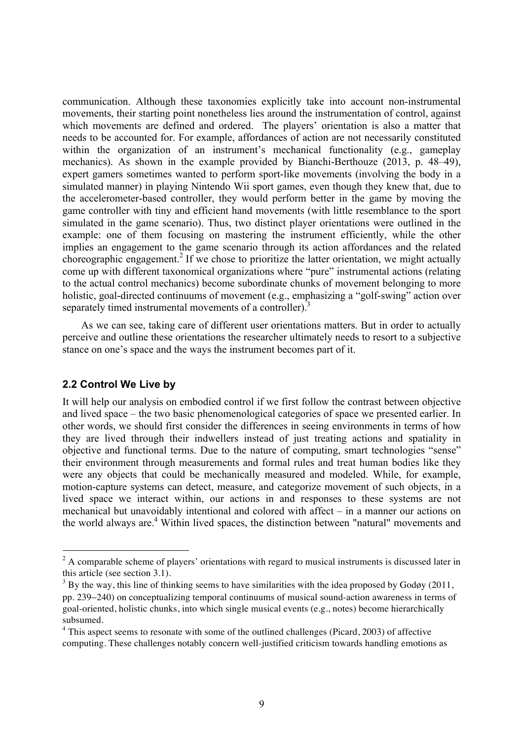communication. Although these taxonomies explicitly take into account non-instrumental movements, their starting point nonetheless lies around the instrumentation of control, against which movements are defined and ordered. The players' orientation is also a matter that needs to be accounted for. For example, affordances of action are not necessarily constituted within the organization of an instrument's mechanical functionality (e.g., gameplay mechanics). As shown in the example provided by Bianchi-Berthouze (2013, p. 48–49), expert gamers sometimes wanted to perform sport-like movements (involving the body in a simulated manner) in playing Nintendo Wii sport games, even though they knew that, due to the accelerometer-based controller, they would perform better in the game by moving the game controller with tiny and efficient hand movements (with little resemblance to the sport simulated in the game scenario). Thus, two distinct player orientations were outlined in the example: one of them focusing on mastering the instrument efficiently, while the other implies an engagement to the game scenario through its action affordances and the related choreographic engagement.<sup>2</sup> If we chose to prioritize the latter orientation, we might actually come up with different taxonomical organizations where "pure" instrumental actions (relating to the actual control mechanics) become subordinate chunks of movement belonging to more holistic, goal-directed continuums of movement (e.g., emphasizing a "golf-swing" action over separately timed instrumental movements of a controller).<sup>3</sup>

As we can see, taking care of different user orientations matters. But in order to actually perceive and outline these orientations the researcher ultimately needs to resort to a subjective stance on one's space and the ways the instrument becomes part of it.

#### **2.2 Control We Live by**

 $\overline{a}$ 

It will help our analysis on embodied control if we first follow the contrast between objective and lived space – the two basic phenomenological categories of space we presented earlier. In other words, we should first consider the differences in seeing environments in terms of how they are lived through their indwellers instead of just treating actions and spatiality in objective and functional terms. Due to the nature of computing, smart technologies "sense" their environment through measurements and formal rules and treat human bodies like they were any objects that could be mechanically measured and modeled. While, for example, motion-capture systems can detect, measure, and categorize movement of such objects, in a lived space we interact within, our actions in and responses to these systems are not mechanical but unavoidably intentional and colored with affect – in a manner our actions on the world always are. <sup>4</sup> Within lived spaces, the distinction between "natural" movements and

 $2$  A comparable scheme of players' orientations with regard to musical instruments is discussed later in this article (see section 3.1).

 $3$  By the way, this line of thinking seems to have similarities with the idea proposed by Godøy (2011, pp. 239–240) on conceptualizing temporal continuums of musical sound-action awareness in terms of goal-oriented, holistic chunks, into which single musical events (e.g., notes) become hierarchically subsumed.

<sup>&</sup>lt;sup>4</sup> This aspect seems to resonate with some of the outlined challenges (Picard, 2003) of affective computing. These challenges notably concern well-justified criticism towards handling emotions as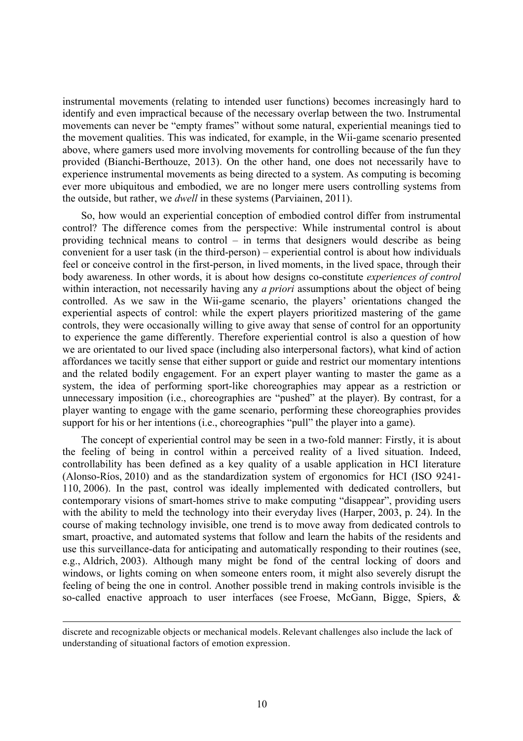instrumental movements (relating to intended user functions) becomes increasingly hard to identify and even impractical because of the necessary overlap between the two. Instrumental movements can never be "empty frames" without some natural, experiential meanings tied to the movement qualities. This was indicated, for example, in the Wii-game scenario presented above, where gamers used more involving movements for controlling because of the fun they provided (Bianchi-Berthouze, 2013). On the other hand, one does not necessarily have to experience instrumental movements as being directed to a system. As computing is becoming ever more ubiquitous and embodied, we are no longer mere users controlling systems from the outside, but rather, we *dwell* in these systems (Parviainen, 2011).

So, how would an experiential conception of embodied control differ from instrumental control? The difference comes from the perspective: While instrumental control is about providing technical means to control – in terms that designers would describe as being convenient for a user task (in the third-person) – experiential control is about how individuals feel or conceive control in the first-person, in lived moments, in the lived space, through their body awareness. In other words, it is about how designs co-constitute *experiences of control* within interaction, not necessarily having any *a priori* assumptions about the object of being controlled. As we saw in the Wii-game scenario, the players' orientations changed the experiential aspects of control: while the expert players prioritized mastering of the game controls, they were occasionally willing to give away that sense of control for an opportunity to experience the game differently. Therefore experiential control is also a question of how we are orientated to our lived space (including also interpersonal factors), what kind of action affordances we tacitly sense that either support or guide and restrict our momentary intentions and the related bodily engagement. For an expert player wanting to master the game as a system, the idea of performing sport-like choreographies may appear as a restriction or unnecessary imposition (i.e., choreographies are "pushed" at the player). By contrast, for a player wanting to engage with the game scenario, performing these choreographies provides support for his or her intentions (i.e., choreographies "pull" the player into a game).

The concept of experiential control may be seen in a two-fold manner: Firstly, it is about the feeling of being in control within a perceived reality of a lived situation. Indeed, controllability has been defined as a key quality of a usable application in HCI literature (Alonso-Ríos, 2010) and as the standardization system of ergonomics for HCI (ISO 9241- 110, 2006). In the past, control was ideally implemented with dedicated controllers, but contemporary visions of smart-homes strive to make computing "disappear", providing users with the ability to meld the technology into their everyday lives (Harper, 2003, p. 24). In the course of making technology invisible, one trend is to move away from dedicated controls to smart, proactive, and automated systems that follow and learn the habits of the residents and use this surveillance-data for anticipating and automatically responding to their routines (see, e.g., Aldrich, 2003). Although many might be fond of the central locking of doors and windows, or lights coming on when someone enters room, it might also severely disrupt the feeling of being the one in control. Another possible trend in making controls invisible is the so-called enactive approach to user interfaces (see Froese, McGann, Bigge, Spiers, &

 $\overline{a}$ 

discrete and recognizable objects or mechanical models. Relevant challenges also include the lack of understanding of situational factors of emotion expression.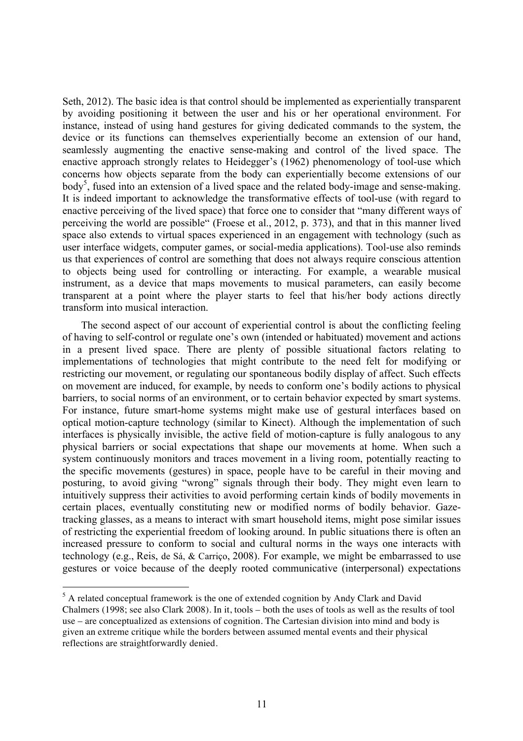Seth, 2012). The basic idea is that control should be implemented as experientially transparent by avoiding positioning it between the user and his or her operational environment. For instance, instead of using hand gestures for giving dedicated commands to the system, the device or its functions can themselves experientially become an extension of our hand, seamlessly augmenting the enactive sense-making and control of the lived space. The enactive approach strongly relates to Heidegger's (1962) phenomenology of tool-use which concerns how objects separate from the body can experientially become extensions of our body<sup>5</sup>, fused into an extension of a lived space and the related body-image and sense-making. It is indeed important to acknowledge the transformative effects of tool-use (with regard to enactive perceiving of the lived space) that force one to consider that "many different ways of perceiving the world are possible" (Froese et al., 2012, p. 373), and that in this manner lived space also extends to virtual spaces experienced in an engagement with technology (such as user interface widgets, computer games, or social-media applications). Tool-use also reminds us that experiences of control are something that does not always require conscious attention to objects being used for controlling or interacting. For example, a wearable musical instrument, as a device that maps movements to musical parameters, can easily become transparent at a point where the player starts to feel that his/her body actions directly transform into musical interaction.

The second aspect of our account of experiential control is about the conflicting feeling of having to self-control or regulate one's own (intended or habituated) movement and actions in a present lived space. There are plenty of possible situational factors relating to implementations of technologies that might contribute to the need felt for modifying or restricting our movement, or regulating our spontaneous bodily display of affect. Such effects on movement are induced, for example, by needs to conform one's bodily actions to physical barriers, to social norms of an environment, or to certain behavior expected by smart systems. For instance, future smart-home systems might make use of gestural interfaces based on optical motion-capture technology (similar to Kinect). Although the implementation of such interfaces is physically invisible, the active field of motion-capture is fully analogous to any physical barriers or social expectations that shape our movements at home. When such a system continuously monitors and traces movement in a living room, potentially reacting to the specific movements (gestures) in space, people have to be careful in their moving and posturing, to avoid giving "wrong" signals through their body. They might even learn to intuitively suppress their activities to avoid performing certain kinds of bodily movements in certain places, eventually constituting new or modified norms of bodily behavior. Gazetracking glasses, as a means to interact with smart household items, might pose similar issues of restricting the experiential freedom of looking around. In public situations there is often an increased pressure to conform to social and cultural norms in the ways one interacts with technology (e.g., Reis, de Sá, & Carriço, 2008). For example, we might be embarrassed to use gestures or voice because of the deeply rooted communicative (interpersonal) expectations

 $\overline{a}$ 

<sup>&</sup>lt;sup>5</sup> A related conceptual framework is the one of extended cognition by Andy Clark and David Chalmers (1998; see also Clark 2008). In it, tools – both the uses of tools as well as the results of tool use – are conceptualized as extensions of cognition. The Cartesian division into mind and body is given an extreme critique while the borders between assumed mental events and their physical reflections are straightforwardly denied.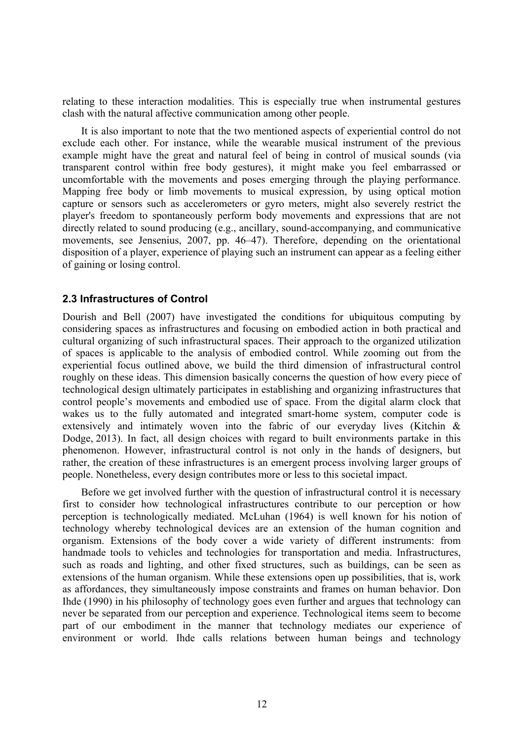relating to these interaction modalities. This is especially true when instrumental gestures clash with the natural affective communication among other people.

It is also important to note that the two mentioned aspects of experiential control do not exclude each other. For instance, while the wearable musical instrument of the previous example might have the great and natural feel of being in control of musical sounds (via transparent control within free body gestures), it might make you feel embarrassed or uncomfortable with the movements and poses emerging through the playing performance. Mapping free body or limb movements to musical expression, by using optical motion capture or sensors such as accelerometers or gyro meters, might also severely restrict the player's freedom to spontaneously perform body movements and expressions that are not directly related to sound producing (e.g., ancillary, sound-accompanying, and communicative movements, see Jensenius, 2007, pp. 46–47). Therefore, depending on the orientational disposition of a player, experience of playing such an instrument can appear as a feeling either of gaining or losing control.

#### **2.3 Infrastructures of Control**

Dourish and Bell (2007) have investigated the conditions for ubiquitous computing by considering spaces as infrastructures and focusing on embodied action in both practical and cultural organizing of such infrastructural spaces. Their approach to the organized utilization of spaces is applicable to the analysis of embodied control. While zooming out from the experiential focus outlined above, we build the third dimension of infrastructural control roughly on these ideas. This dimension basically concerns the question of how every piece of technological design ultimately participates in establishing and organizing infrastructures that control people's movements and embodied use of space. From the digital alarm clock that wakes us to the fully automated and integrated smart-home system, computer code is extensively and intimately woven into the fabric of our everyday lives (Kitchin & Dodge, 2013). In fact, all design choices with regard to built environments partake in this phenomenon. However, infrastructural control is not only in the hands of designers, but rather, the creation of these infrastructures is an emergent process involving larger groups of people. Nonetheless, every design contributes more or less to this societal impact.

Before we get involved further with the question of infrastructural control it is necessary first to consider how technological infrastructures contribute to our perception or how perception is technologically mediated. McLuhan (1964) is well known for his notion of technology whereby technological devices are an extension of the human cognition and organism. Extensions of the body cover a wide variety of different instruments: from handmade tools to vehicles and technologies for transportation and media. Infrastructures, such as roads and lighting, and other fixed structures, such as buildings, can be seen as extensions of the human organism. While these extensions open up possibilities, that is, work as affordances, they simultaneously impose constraints and frames on human behavior. Don Ihde (1990) in his philosophy of technology goes even further and argues that technology can never be separated from our perception and experience. Technological items seem to become part of our embodiment in the manner that technology mediates our experience of environment or world. Ihde calls relations between human beings and technology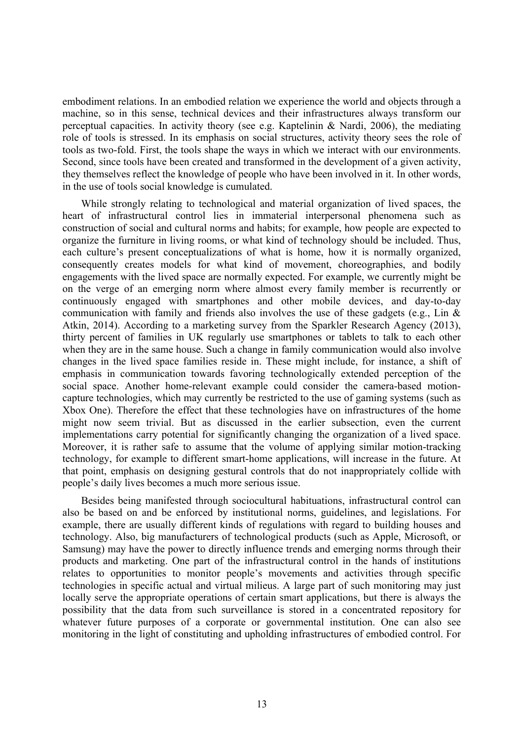embodiment relations. In an embodied relation we experience the world and objects through a machine, so in this sense, technical devices and their infrastructures always transform our perceptual capacities. In activity theory (see e.g. Kaptelinin & Nardi, 2006), the mediating role of tools is stressed. In its emphasis on social structures, activity theory sees the role of tools as two-fold. First, the tools shape the ways in which we interact with our environments. Second, since tools have been created and transformed in the development of a given activity, they themselves reflect the knowledge of people who have been involved in it. In other words, in the use of tools social knowledge is cumulated.

While strongly relating to technological and material organization of lived spaces, the heart of infrastructural control lies in immaterial interpersonal phenomena such as construction of social and cultural norms and habits; for example, how people are expected to organize the furniture in living rooms, or what kind of technology should be included. Thus, each culture's present conceptualizations of what is home, how it is normally organized, consequently creates models for what kind of movement, choreographies, and bodily engagements with the lived space are normally expected. For example, we currently might be on the verge of an emerging norm where almost every family member is recurrently or continuously engaged with smartphones and other mobile devices, and day-to-day communication with family and friends also involves the use of these gadgets (e.g., Lin & Atkin, 2014). According to a marketing survey from the Sparkler Research Agency (2013), thirty percent of families in UK regularly use smartphones or tablets to talk to each other when they are in the same house. Such a change in family communication would also involve changes in the lived space families reside in. These might include, for instance, a shift of emphasis in communication towards favoring technologically extended perception of the social space. Another home-relevant example could consider the camera-based motioncapture technologies, which may currently be restricted to the use of gaming systems (such as Xbox One). Therefore the effect that these technologies have on infrastructures of the home might now seem trivial. But as discussed in the earlier subsection, even the current implementations carry potential for significantly changing the organization of a lived space. Moreover, it is rather safe to assume that the volume of applying similar motion-tracking technology, for example to different smart-home applications, will increase in the future. At that point, emphasis on designing gestural controls that do not inappropriately collide with people's daily lives becomes a much more serious issue.

Besides being manifested through sociocultural habituations, infrastructural control can also be based on and be enforced by institutional norms, guidelines, and legislations. For example, there are usually different kinds of regulations with regard to building houses and technology. Also, big manufacturers of technological products (such as Apple, Microsoft, or Samsung) may have the power to directly influence trends and emerging norms through their products and marketing. One part of the infrastructural control in the hands of institutions relates to opportunities to monitor people's movements and activities through specific technologies in specific actual and virtual milieus. A large part of such monitoring may just locally serve the appropriate operations of certain smart applications, but there is always the possibility that the data from such surveillance is stored in a concentrated repository for whatever future purposes of a corporate or governmental institution. One can also see monitoring in the light of constituting and upholding infrastructures of embodied control. For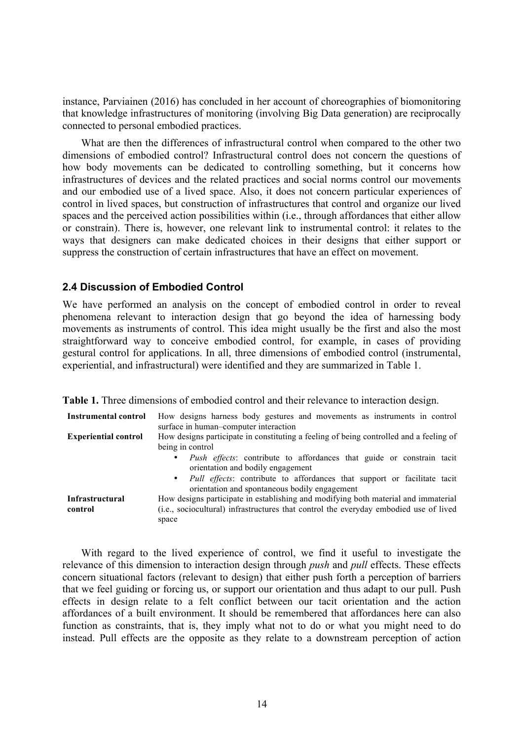instance, Parviainen (2016) has concluded in her account of choreographies of biomonitoring that knowledge infrastructures of monitoring (involving Big Data generation) are reciprocally connected to personal embodied practices.

What are then the differences of infrastructural control when compared to the other two dimensions of embodied control? Infrastructural control does not concern the questions of how body movements can be dedicated to controlling something, but it concerns how infrastructures of devices and the related practices and social norms control our movements and our embodied use of a lived space. Also, it does not concern particular experiences of control in lived spaces, but construction of infrastructures that control and organize our lived spaces and the perceived action possibilities within (i.e., through affordances that either allow or constrain). There is, however, one relevant link to instrumental control: it relates to the ways that designers can make dedicated choices in their designs that either support or suppress the construction of certain infrastructures that have an effect on movement.

#### **2.4 Discussion of Embodied Control**

We have performed an analysis on the concept of embodied control in order to reveal phenomena relevant to interaction design that go beyond the idea of harnessing body movements as instruments of control. This idea might usually be the first and also the most straightforward way to conceive embodied control, for example, in cases of providing gestural control for applications. In all, three dimensions of embodied control (instrumental, experiential, and infrastructural) were identified and they are summarized in Table 1.

| Instrumental control        | How designs harness body gestures and movements as instruments in control<br>surface in human-computer interaction                                                                                                                                         |  |  |
|-----------------------------|------------------------------------------------------------------------------------------------------------------------------------------------------------------------------------------------------------------------------------------------------------|--|--|
| <b>Experiential control</b> | How designs participate in constituting a feeling of being controlled and a feeling of<br>being in control                                                                                                                                                 |  |  |
|                             | • <i>Push effects</i> : contribute to affordances that guide or constrain tacit<br>orientation and bodily engagement<br>• <i>Pull effects:</i> contribute to affordances that support or facilitate tacit<br>orientation and spontaneous bodily engagement |  |  |
| Infrastructural<br>control  | How designs participate in establishing and modifying both material and immaterial<br>(i.e., sociocultural) infrastructures that control the everyday embodied use of lived<br>space                                                                       |  |  |

**Table 1.** Three dimensions of embodied control and their relevance to interaction design.

With regard to the lived experience of control, we find it useful to investigate the relevance of this dimension to interaction design through *push* and *pull* effects. These effects concern situational factors (relevant to design) that either push forth a perception of barriers that we feel guiding or forcing us, or support our orientation and thus adapt to our pull. Push effects in design relate to a felt conflict between our tacit orientation and the action affordances of a built environment. It should be remembered that affordances here can also function as constraints, that is, they imply what not to do or what you might need to do instead. Pull effects are the opposite as they relate to a downstream perception of action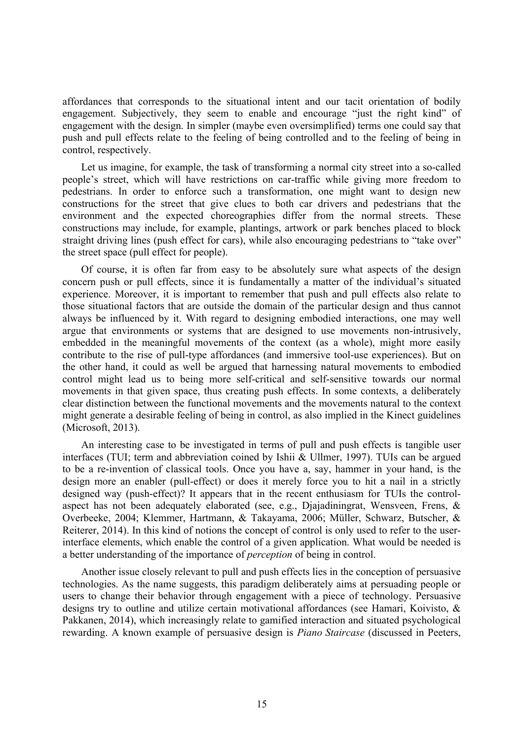affordances that corresponds to the situational intent and our tacit orientation of bodily engagement. Subjectively, they seem to enable and encourage "just the right kind" of engagement with the design. In simpler (maybe even oversimplified) terms one could say that push and pull effects relate to the feeling of being controlled and to the feeling of being in control, respectively.

Let us imagine, for example, the task of transforming a normal city street into a so-called people's street, which will have restrictions on car-traffic while giving more freedom to pedestrians. In order to enforce such a transformation, one might want to design new constructions for the street that give clues to both car drivers and pedestrians that the environment and the expected choreographies differ from the normal streets. These constructions may include, for example, plantings, artwork or park benches placed to block straight driving lines (push effect for cars), while also encouraging pedestrians to "take over" the street space (pull effect for people).

Of course, it is often far from easy to be absolutely sure what aspects of the design concern push or pull effects, since it is fundamentally a matter of the individual's situated experience. Moreover, it is important to remember that push and pull effects also relate to those situational factors that are outside the domain of the particular design and thus cannot always be influenced by it. With regard to designing embodied interactions, one may well argue that environments or systems that are designed to use movements non-intrusively, embedded in the meaningful movements of the context (as a whole), might more easily contribute to the rise of pull-type affordances (and immersive tool-use experiences). But on the other hand, it could as well be argued that harnessing natural movements to embodied control might lead us to being more self-critical and self-sensitive towards our normal movements in that given space, thus creating push effects. In some contexts, a deliberately clear distinction between the functional movements and the movements natural to the context might generate a desirable feeling of being in control, as also implied in the Kinect guidelines (Microsoft, 2013).

An interesting case to be investigated in terms of pull and push effects is tangible user interfaces (TUI; term and abbreviation coined by Ishii & Ullmer, 1997). TUIs can be argued to be a re-invention of classical tools. Once you have a, say, hammer in your hand, is the design more an enabler (pull-effect) or does it merely force you to hit a nail in a strictly designed way (push-effect)? It appears that in the recent enthusiasm for TUIs the controlaspect has not been adequately elaborated (see, e.g., Djajadiningrat, Wensveen, Frens, & Overbeeke, 2004; Klemmer, Hartmann, & Takayama, 2006; Müller, Schwarz, Butscher, & Reiterer, 2014). In this kind of notions the concept of control is only used to refer to the userinterface elements, which enable the control of a given application. What would be needed is a better understanding of the importance of *perception* of being in control.

Another issue closely relevant to pull and push effects lies in the conception of persuasive technologies. As the name suggests, this paradigm deliberately aims at persuading people or users to change their behavior through engagement with a piece of technology. Persuasive designs try to outline and utilize certain motivational affordances (see Hamari, Koivisto, & Pakkanen, 2014), which increasingly relate to gamified interaction and situated psychological rewarding. A known example of persuasive design is *Piano Staircase* (discussed in Peeters,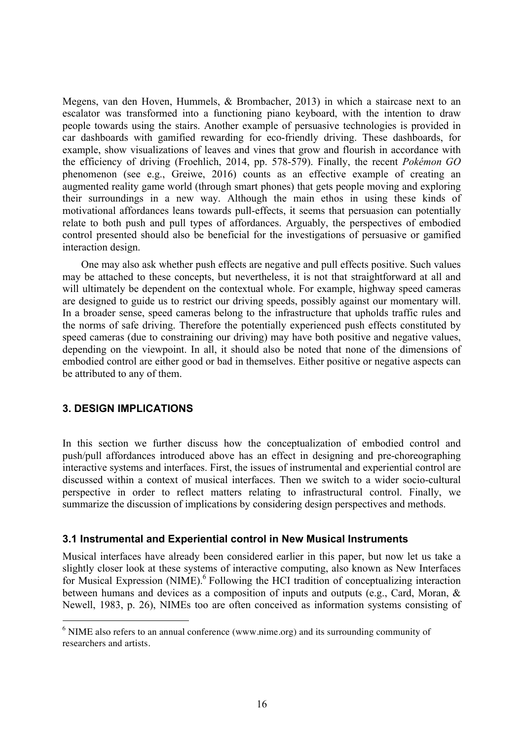Megens, van den Hoven, Hummels, & Brombacher, 2013) in which a staircase next to an escalator was transformed into a functioning piano keyboard, with the intention to draw people towards using the stairs. Another example of persuasive technologies is provided in car dashboards with gamified rewarding for eco-friendly driving. These dashboards, for example, show visualizations of leaves and vines that grow and flourish in accordance with the efficiency of driving (Froehlich, 2014, pp. 578-579). Finally, the recent *Pokémon GO* phenomenon (see e.g., Greiwe, 2016) counts as an effective example of creating an augmented reality game world (through smart phones) that gets people moving and exploring their surroundings in a new way. Although the main ethos in using these kinds of motivational affordances leans towards pull-effects, it seems that persuasion can potentially relate to both push and pull types of affordances. Arguably, the perspectives of embodied control presented should also be beneficial for the investigations of persuasive or gamified interaction design.

One may also ask whether push effects are negative and pull effects positive. Such values may be attached to these concepts, but nevertheless, it is not that straightforward at all and will ultimately be dependent on the contextual whole. For example, highway speed cameras are designed to guide us to restrict our driving speeds, possibly against our momentary will. In a broader sense, speed cameras belong to the infrastructure that upholds traffic rules and the norms of safe driving. Therefore the potentially experienced push effects constituted by speed cameras (due to constraining our driving) may have both positive and negative values, depending on the viewpoint. In all, it should also be noted that none of the dimensions of embodied control are either good or bad in themselves. Either positive or negative aspects can be attributed to any of them.

## **3. DESIGN IMPLICATIONS**

 $\overline{a}$ 

In this section we further discuss how the conceptualization of embodied control and push/pull affordances introduced above has an effect in designing and pre-choreographing interactive systems and interfaces. First, the issues of instrumental and experiential control are discussed within a context of musical interfaces. Then we switch to a wider socio-cultural perspective in order to reflect matters relating to infrastructural control. Finally, we summarize the discussion of implications by considering design perspectives and methods.

#### **3.1 Instrumental and Experiential control in New Musical Instruments**

Musical interfaces have already been considered earlier in this paper, but now let us take a slightly closer look at these systems of interactive computing, also known as New Interfaces for Musical Expression (NIME).<sup>6</sup> Following the HCI tradition of conceptualizing interaction between humans and devices as a composition of inputs and outputs (e.g., Card, Moran, & Newell, 1983, p. 26), NIMEs too are often conceived as information systems consisting of

<sup>&</sup>lt;sup>6</sup> NIME also refers to an annual conference (www.nime.org) and its surrounding community of researchers and artists.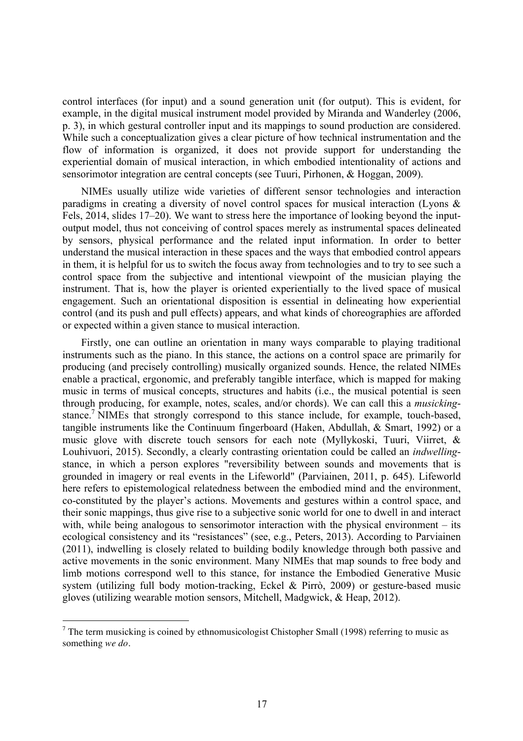control interfaces (for input) and a sound generation unit (for output). This is evident, for example, in the digital musical instrument model provided by Miranda and Wanderley (2006, p. 3), in which gestural controller input and its mappings to sound production are considered. While such a conceptualization gives a clear picture of how technical instrumentation and the flow of information is organized, it does not provide support for understanding the experiential domain of musical interaction, in which embodied intentionality of actions and sensorimotor integration are central concepts (see Tuuri, Pirhonen, & Hoggan, 2009).

NIMEs usually utilize wide varieties of different sensor technologies and interaction paradigms in creating a diversity of novel control spaces for musical interaction (Lyons & Fels, 2014, slides 17–20). We want to stress here the importance of looking beyond the inputoutput model, thus not conceiving of control spaces merely as instrumental spaces delineated by sensors, physical performance and the related input information. In order to better understand the musical interaction in these spaces and the ways that embodied control appears in them, it is helpful for us to switch the focus away from technologies and to try to see such a control space from the subjective and intentional viewpoint of the musician playing the instrument. That is, how the player is oriented experientially to the lived space of musical engagement. Such an orientational disposition is essential in delineating how experiential control (and its push and pull effects) appears, and what kinds of choreographies are afforded or expected within a given stance to musical interaction.

Firstly, one can outline an orientation in many ways comparable to playing traditional instruments such as the piano. In this stance, the actions on a control space are primarily for producing (and precisely controlling) musically organized sounds. Hence, the related NIMEs enable a practical, ergonomic, and preferably tangible interface, which is mapped for making music in terms of musical concepts, structures and habits (i.e., the musical potential is seen through producing, for example, notes, scales, and/or chords). We can call this a *musicking*stance.<sup>7</sup> NIMEs that strongly correspond to this stance include, for example, touch-based, tangible instruments like the Continuum fingerboard (Haken, Abdullah, & Smart, 1992) or a music glove with discrete touch sensors for each note (Myllykoski, Tuuri, Viirret, & Louhivuori, 2015). Secondly, a clearly contrasting orientation could be called an *indwelling*stance, in which a person explores "reversibility between sounds and movements that is grounded in imagery or real events in the Lifeworld" (Parviainen, 2011, p. 645). Lifeworld here refers to epistemological relatedness between the embodied mind and the environment. co-constituted by the player's actions. Movements and gestures within a control space, and their sonic mappings, thus give rise to a subjective sonic world for one to dwell in and interact with, while being analogous to sensorimotor interaction with the physical environment – its ecological consistency and its "resistances" (see, e.g., Peters, 2013). According to Parviainen (2011), indwelling is closely related to building bodily knowledge through both passive and active movements in the sonic environment. Many NIMEs that map sounds to free body and limb motions correspond well to this stance, for instance the Embodied Generative Music system (utilizing full body motion-tracking, Eckel & Pirrò, 2009) or gesture-based music gloves (utilizing wearable motion sensors, Mitchell, Madgwick, & Heap, 2012).

 $\overline{a}$ 

 $<sup>7</sup>$  The term musicking is coined by ethnomusicologist Chistopher Small (1998) referring to music as</sup> something *we do*.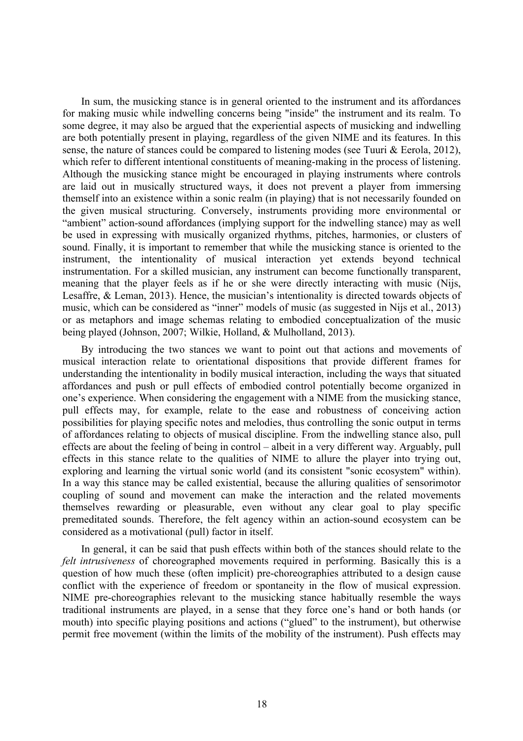In sum, the musicking stance is in general oriented to the instrument and its affordances for making music while indwelling concerns being "inside" the instrument and its realm. To some degree, it may also be argued that the experiential aspects of musicking and indwelling are both potentially present in playing, regardless of the given NIME and its features. In this sense, the nature of stances could be compared to listening modes (see Tuuri & Eerola, 2012), which refer to different intentional constituents of meaning-making in the process of listening. Although the musicking stance might be encouraged in playing instruments where controls are laid out in musically structured ways, it does not prevent a player from immersing themself into an existence within a sonic realm (in playing) that is not necessarily founded on the given musical structuring. Conversely, instruments providing more environmental or "ambient" action-sound affordances (implying support for the indwelling stance) may as well be used in expressing with musically organized rhythms, pitches, harmonies, or clusters of sound. Finally, it is important to remember that while the musicking stance is oriented to the instrument, the intentionality of musical interaction yet extends beyond technical instrumentation. For a skilled musician, any instrument can become functionally transparent, meaning that the player feels as if he or she were directly interacting with music (Nijs, Lesaffre, & Leman, 2013). Hence, the musician's intentionality is directed towards objects of music, which can be considered as "inner" models of music (as suggested in Nijs et al., 2013) or as metaphors and image schemas relating to embodied conceptualization of the music being played (Johnson, 2007; Wilkie, Holland, & Mulholland, 2013).

By introducing the two stances we want to point out that actions and movements of musical interaction relate to orientational dispositions that provide different frames for understanding the intentionality in bodily musical interaction, including the ways that situated affordances and push or pull effects of embodied control potentially become organized in one's experience. When considering the engagement with a NIME from the musicking stance, pull effects may, for example, relate to the ease and robustness of conceiving action possibilities for playing specific notes and melodies, thus controlling the sonic output in terms of affordances relating to objects of musical discipline. From the indwelling stance also, pull effects are about the feeling of being in control – albeit in a very different way. Arguably, pull effects in this stance relate to the qualities of NIME to allure the player into trying out, exploring and learning the virtual sonic world (and its consistent "sonic ecosystem" within). In a way this stance may be called existential, because the alluring qualities of sensorimotor coupling of sound and movement can make the interaction and the related movements themselves rewarding or pleasurable, even without any clear goal to play specific premeditated sounds. Therefore, the felt agency within an action-sound ecosystem can be considered as a motivational (pull) factor in itself.

In general, it can be said that push effects within both of the stances should relate to the *felt intrusiveness* of choreographed movements required in performing. Basically this is a question of how much these (often implicit) pre-choreographies attributed to a design cause conflict with the experience of freedom or spontaneity in the flow of musical expression. NIME pre-choreographies relevant to the musicking stance habitually resemble the ways traditional instruments are played, in a sense that they force one's hand or both hands (or mouth) into specific playing positions and actions ("glued" to the instrument), but otherwise permit free movement (within the limits of the mobility of the instrument). Push effects may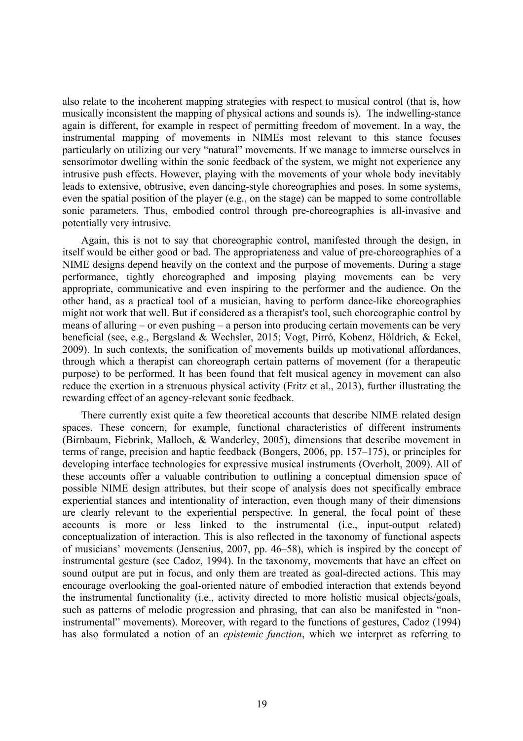also relate to the incoherent mapping strategies with respect to musical control (that is, how musically inconsistent the mapping of physical actions and sounds is). The indwelling-stance again is different, for example in respect of permitting freedom of movement. In a way, the instrumental mapping of movements in NIMEs most relevant to this stance focuses particularly on utilizing our very "natural" movements. If we manage to immerse ourselves in sensorimotor dwelling within the sonic feedback of the system, we might not experience any intrusive push effects. However, playing with the movements of your whole body inevitably leads to extensive, obtrusive, even dancing-style choreographies and poses. In some systems, even the spatial position of the player (e.g., on the stage) can be mapped to some controllable sonic parameters. Thus, embodied control through pre-choreographies is all-invasive and potentially very intrusive.

Again, this is not to say that choreographic control, manifested through the design, in itself would be either good or bad. The appropriateness and value of pre-choreographies of a NIME designs depend heavily on the context and the purpose of movements. During a stage performance, tightly choreographed and imposing playing movements can be very appropriate, communicative and even inspiring to the performer and the audience. On the other hand, as a practical tool of a musician, having to perform dance-like choreographies might not work that well. But if considered as a therapist's tool, such choreographic control by means of alluring – or even pushing – a person into producing certain movements can be very beneficial (see, e.g., Bergsland & Wechsler, 2015; Vogt, Pirró, Kobenz, Höldrich, & Eckel, 2009). In such contexts, the sonification of movements builds up motivational affordances, through which a therapist can choreograph certain patterns of movement (for a therapeutic purpose) to be performed. It has been found that felt musical agency in movement can also reduce the exertion in a strenuous physical activity (Fritz et al., 2013), further illustrating the rewarding effect of an agency-relevant sonic feedback.

There currently exist quite a few theoretical accounts that describe NIME related design spaces. These concern, for example, functional characteristics of different instruments (Birnbaum, Fiebrink, Malloch, & Wanderley, 2005), dimensions that describe movement in terms of range, precision and haptic feedback (Bongers, 2006, pp. 157–175), or principles for developing interface technologies for expressive musical instruments (Overholt, 2009). All of these accounts offer a valuable contribution to outlining a conceptual dimension space of possible NIME design attributes, but their scope of analysis does not specifically embrace experiential stances and intentionality of interaction, even though many of their dimensions are clearly relevant to the experiential perspective. In general, the focal point of these accounts is more or less linked to the instrumental (i.e., input-output related) conceptualization of interaction. This is also reflected in the taxonomy of functional aspects of musicians' movements (Jensenius, 2007, pp. 46–58), which is inspired by the concept of instrumental gesture (see Cadoz, 1994). In the taxonomy, movements that have an effect on sound output are put in focus, and only them are treated as goal-directed actions. This may encourage overlooking the goal-oriented nature of embodied interaction that extends beyond the instrumental functionality (i.e., activity directed to more holistic musical objects/goals, such as patterns of melodic progression and phrasing, that can also be manifested in "noninstrumental" movements). Moreover, with regard to the functions of gestures, Cadoz (1994) has also formulated a notion of an *epistemic function*, which we interpret as referring to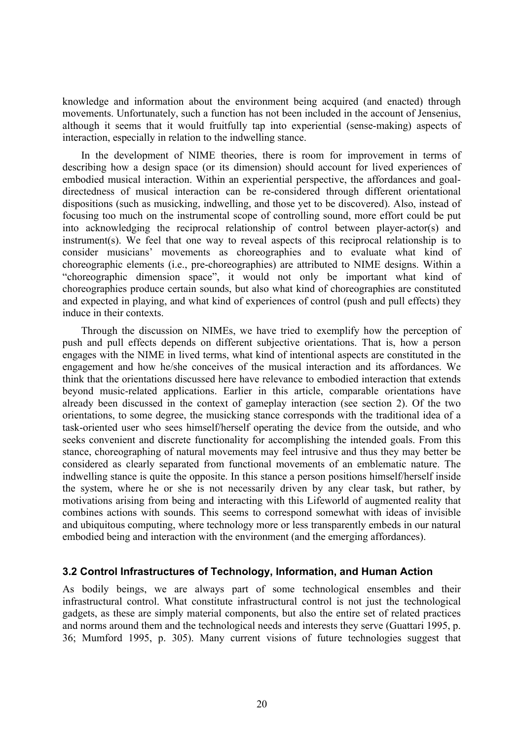knowledge and information about the environment being acquired (and enacted) through movements. Unfortunately, such a function has not been included in the account of Jensenius, although it seems that it would fruitfully tap into experiential (sense-making) aspects of interaction, especially in relation to the indwelling stance.

In the development of NIME theories, there is room for improvement in terms of describing how a design space (or its dimension) should account for lived experiences of embodied musical interaction. Within an experiential perspective, the affordances and goaldirectedness of musical interaction can be re-considered through different orientational dispositions (such as musicking, indwelling, and those yet to be discovered). Also, instead of focusing too much on the instrumental scope of controlling sound, more effort could be put into acknowledging the reciprocal relationship of control between player-actor(s) and instrument(s). We feel that one way to reveal aspects of this reciprocal relationship is to consider musicians' movements as choreographies and to evaluate what kind of choreographic elements (i.e., pre-choreographies) are attributed to NIME designs. Within a "choreographic dimension space", it would not only be important what kind of choreographies produce certain sounds, but also what kind of choreographies are constituted and expected in playing, and what kind of experiences of control (push and pull effects) they induce in their contexts.

Through the discussion on NIMEs, we have tried to exemplify how the perception of push and pull effects depends on different subjective orientations. That is, how a person engages with the NIME in lived terms, what kind of intentional aspects are constituted in the engagement and how he/she conceives of the musical interaction and its affordances. We think that the orientations discussed here have relevance to embodied interaction that extends beyond music-related applications. Earlier in this article, comparable orientations have already been discussed in the context of gameplay interaction (see section 2). Of the two orientations, to some degree, the musicking stance corresponds with the traditional idea of a task-oriented user who sees himself/herself operating the device from the outside, and who seeks convenient and discrete functionality for accomplishing the intended goals. From this stance, choreographing of natural movements may feel intrusive and thus they may better be considered as clearly separated from functional movements of an emblematic nature. The indwelling stance is quite the opposite. In this stance a person positions himself/herself inside the system, where he or she is not necessarily driven by any clear task, but rather, by motivations arising from being and interacting with this Lifeworld of augmented reality that combines actions with sounds. This seems to correspond somewhat with ideas of invisible and ubiquitous computing, where technology more or less transparently embeds in our natural embodied being and interaction with the environment (and the emerging affordances).

## **3.2 Control Infrastructures of Technology, Information, and Human Action**

As bodily beings, we are always part of some technological ensembles and their infrastructural control. What constitute infrastructural control is not just the technological gadgets, as these are simply material components, but also the entire set of related practices and norms around them and the technological needs and interests they serve (Guattari 1995, p. 36; Mumford 1995, p. 305). Many current visions of future technologies suggest that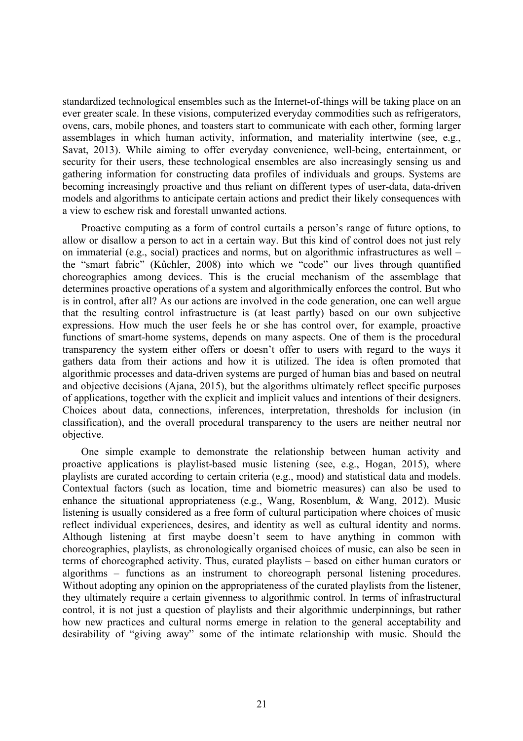standardized technological ensembles such as the Internet-of-things will be taking place on an ever greater scale. In these visions, computerized everyday commodities such as refrigerators, ovens, cars, mobile phones, and toasters start to communicate with each other, forming larger assemblages in which human activity, information, and materiality intertwine (see, e.g., Savat, 2013). While aiming to offer everyday convenience, well-being, entertainment, or security for their users, these technological ensembles are also increasingly sensing us and gathering information for constructing data profiles of individuals and groups. Systems are becoming increasingly proactive and thus reliant on different types of user-data, data-driven models and algorithms to anticipate certain actions and predict their likely consequences with a view to eschew risk and forestall unwanted actions*.* 

Proactive computing as a form of control curtails a person's range of future options, to allow or disallow a person to act in a certain way. But this kind of control does not just rely on immaterial (e.g., social) practices and norms, but on algorithmic infrastructures as well – the "smart fabric" (Kûchler, 2008) into which we "code" our lives through quantified choreographies among devices. This is the crucial mechanism of the assemblage that determines proactive operations of a system and algorithmically enforces the control. But who is in control, after all? As our actions are involved in the code generation, one can well argue that the resulting control infrastructure is (at least partly) based on our own subjective expressions. How much the user feels he or she has control over, for example, proactive functions of smart-home systems, depends on many aspects. One of them is the procedural transparency the system either offers or doesn't offer to users with regard to the ways it gathers data from their actions and how it is utilized. The idea is often promoted that algorithmic processes and data-driven systems are purged of human bias and based on neutral and objective decisions (Ajana, 2015), but the algorithms ultimately reflect specific purposes of applications, together with the explicit and implicit values and intentions of their designers. Choices about data, connections, inferences, interpretation, thresholds for inclusion (in classification), and the overall procedural transparency to the users are neither neutral nor objective.

One simple example to demonstrate the relationship between human activity and proactive applications is playlist-based music listening (see, e.g., Hogan, 2015), where playlists are curated according to certain criteria (e.g., mood) and statistical data and models. Contextual factors (such as location, time and biometric measures) can also be used to enhance the situational appropriateness (e.g., Wang, Rosenblum, & Wang, 2012). Music listening is usually considered as a free form of cultural participation where choices of music reflect individual experiences, desires, and identity as well as cultural identity and norms. Although listening at first maybe doesn't seem to have anything in common with choreographies, playlists, as chronologically organised choices of music, can also be seen in terms of choreographed activity. Thus, curated playlists – based on either human curators or algorithms – functions as an instrument to choreograph personal listening procedures. Without adopting any opinion on the appropriateness of the curated playlists from the listener, they ultimately require a certain givenness to algorithmic control. In terms of infrastructural control, it is not just a question of playlists and their algorithmic underpinnings, but rather how new practices and cultural norms emerge in relation to the general acceptability and desirability of "giving away" some of the intimate relationship with music. Should the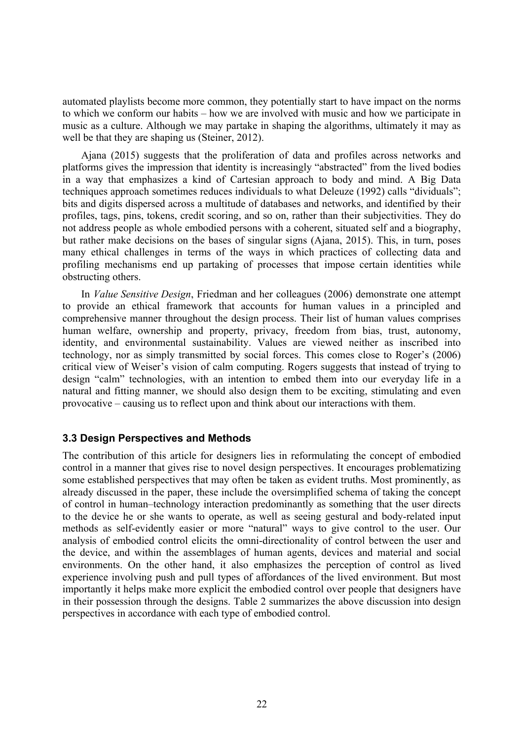automated playlists become more common, they potentially start to have impact on the norms to which we conform our habits – how we are involved with music and how we participate in music as a culture. Although we may partake in shaping the algorithms, ultimately it may as well be that they are shaping us (Steiner, 2012).

Ajana (2015) suggests that the proliferation of data and profiles across networks and platforms gives the impression that identity is increasingly "abstracted" from the lived bodies in a way that emphasizes a kind of Cartesian approach to body and mind. A Big Data techniques approach sometimes reduces individuals to what Deleuze (1992) calls "dividuals"; bits and digits dispersed across a multitude of databases and networks, and identified by their profiles, tags, pins, tokens, credit scoring, and so on, rather than their subjectivities. They do not address people as whole embodied persons with a coherent, situated self and a biography, but rather make decisions on the bases of singular signs (Ajana, 2015). This, in turn, poses many ethical challenges in terms of the ways in which practices of collecting data and profiling mechanisms end up partaking of processes that impose certain identities while obstructing others.

In *Value Sensitive Design*, Friedman and her colleagues (2006) demonstrate one attempt to provide an ethical framework that accounts for human values in a principled and comprehensive manner throughout the design process. Their list of human values comprises human welfare, ownership and property, privacy, freedom from bias, trust, autonomy, identity, and environmental sustainability. Values are viewed neither as inscribed into technology, nor as simply transmitted by social forces. This comes close to Roger's (2006) critical view of Weiser's vision of calm computing. Rogers suggests that instead of trying to design "calm" technologies, with an intention to embed them into our everyday life in a natural and fitting manner, we should also design them to be exciting, stimulating and even provocative – causing us to reflect upon and think about our interactions with them.

## **3.3 Design Perspectives and Methods**

The contribution of this article for designers lies in reformulating the concept of embodied control in a manner that gives rise to novel design perspectives. It encourages problematizing some established perspectives that may often be taken as evident truths. Most prominently, as already discussed in the paper, these include the oversimplified schema of taking the concept of control in human–technology interaction predominantly as something that the user directs to the device he or she wants to operate, as well as seeing gestural and body-related input methods as self-evidently easier or more "natural" ways to give control to the user. Our analysis of embodied control elicits the omni-directionality of control between the user and the device, and within the assemblages of human agents, devices and material and social environments. On the other hand, it also emphasizes the perception of control as lived experience involving push and pull types of affordances of the lived environment. But most importantly it helps make more explicit the embodied control over people that designers have in their possession through the designs. Table 2 summarizes the above discussion into design perspectives in accordance with each type of embodied control.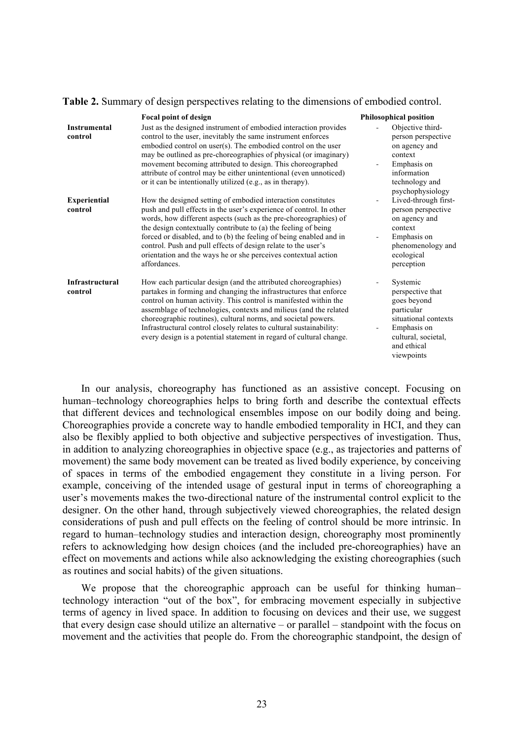#### **Table 2.** Summary of design perspectives relating to the dimensions of embodied control.

|                                | <b>Focal point of design</b>                                                                                                                                                                                                                                                                                                                                                                                                                                                                       | <b>Philosophical position</b>                                                                                                                                      |
|--------------------------------|----------------------------------------------------------------------------------------------------------------------------------------------------------------------------------------------------------------------------------------------------------------------------------------------------------------------------------------------------------------------------------------------------------------------------------------------------------------------------------------------------|--------------------------------------------------------------------------------------------------------------------------------------------------------------------|
| <b>Instrumental</b><br>control | Just as the designed instrument of embodied interaction provides<br>control to the user, inevitably the same instrument enforces<br>embodied control on user(s). The embodied control on the user<br>may be outlined as pre-choreographies of physical (or imaginary)<br>movement becoming attributed to design. This choreographed<br>attribute of control may be either unintentional (even unnoticed)<br>or it can be intentionally utilized (e.g., as in therapy).                             | Objective third-<br>person perspective<br>on agency and<br>context<br>Emphasis on<br>information<br>technology and<br>psychophysiology                             |
| <b>Experiential</b><br>control | How the designed setting of embodied interaction constitutes<br>push and pull effects in the user's experience of control. In other<br>words, how different aspects (such as the pre-choreographies) of<br>the design contextually contribute to (a) the feeling of being<br>forced or disabled, and to (b) the feeling of being enabled and in<br>control. Push and pull effects of design relate to the user's<br>orientation and the ways he or she perceives contextual action<br>affordances. | Lived-through first-<br>person perspective<br>on agency and<br>context<br>Emphasis on<br>$\overline{\phantom{a}}$<br>phenomenology and<br>ecological<br>perception |
| Infrastructural<br>control     | How each particular design (and the attributed choreographies)<br>partakes in forming and changing the infrastructures that enforce<br>control on human activity. This control is manifested within the<br>assemblage of technologies, contexts and milieus (and the related<br>choreographic routines), cultural norms, and societal powers.<br>Infrastructural control closely relates to cultural sustainability:<br>every design is a potential statement in regard of cultural change.        | Systemic<br>perspective that<br>goes beyond<br>particular<br>situational contexts<br>Emphasis on<br>$\overline{\phantom{a}}$<br>cultural, societal,<br>and ethical |

In our analysis, choreography has functioned as an assistive concept. Focusing on human–technology choreographies helps to bring forth and describe the contextual effects that different devices and technological ensembles impose on our bodily doing and being. Choreographies provide a concrete way to handle embodied temporality in HCI, and they can also be flexibly applied to both objective and subjective perspectives of investigation. Thus, in addition to analyzing choreographies in objective space (e.g., as trajectories and patterns of movement) the same body movement can be treated as lived bodily experience, by conceiving of spaces in terms of the embodied engagement they constitute in a living person. For example, conceiving of the intended usage of gestural input in terms of choreographing a user's movements makes the two-directional nature of the instrumental control explicit to the designer. On the other hand, through subjectively viewed choreographies, the related design considerations of push and pull effects on the feeling of control should be more intrinsic. In regard to human–technology studies and interaction design, choreography most prominently refers to acknowledging how design choices (and the included pre-choreographies) have an effect on movements and actions while also acknowledging the existing choreographies (such as routines and social habits) of the given situations.

viewpoints

We propose that the choreographic approach can be useful for thinking human– technology interaction "out of the box", for embracing movement especially in subjective terms of agency in lived space. In addition to focusing on devices and their use, we suggest that every design case should utilize an alternative – or parallel – standpoint with the focus on movement and the activities that people do. From the choreographic standpoint, the design of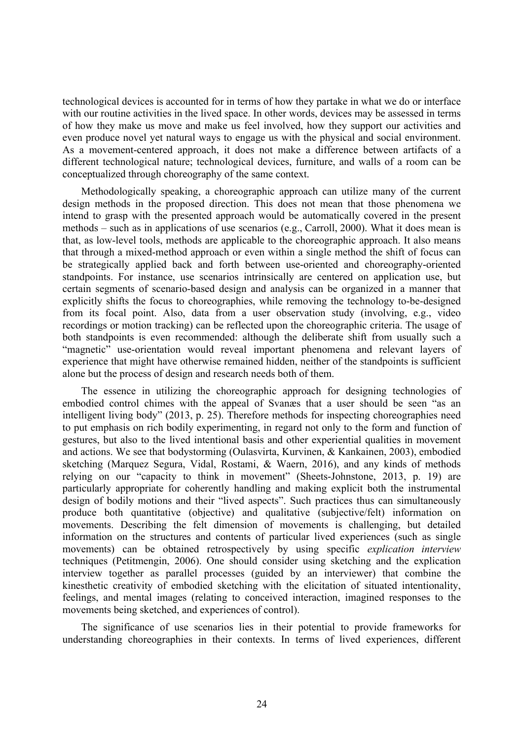technological devices is accounted for in terms of how they partake in what we do or interface with our routine activities in the lived space. In other words, devices may be assessed in terms of how they make us move and make us feel involved, how they support our activities and even produce novel yet natural ways to engage us with the physical and social environment. As a movement-centered approach, it does not make a difference between artifacts of a different technological nature; technological devices, furniture, and walls of a room can be conceptualized through choreography of the same context.

Methodologically speaking, a choreographic approach can utilize many of the current design methods in the proposed direction. This does not mean that those phenomena we intend to grasp with the presented approach would be automatically covered in the present methods – such as in applications of use scenarios (e.g., Carroll, 2000). What it does mean is that, as low-level tools, methods are applicable to the choreographic approach. It also means that through a mixed-method approach or even within a single method the shift of focus can be strategically applied back and forth between use-oriented and choreography-oriented standpoints. For instance, use scenarios intrinsically are centered on application use, but certain segments of scenario-based design and analysis can be organized in a manner that explicitly shifts the focus to choreographies, while removing the technology to-be-designed from its focal point. Also, data from a user observation study (involving, e.g., video recordings or motion tracking) can be reflected upon the choreographic criteria. The usage of both standpoints is even recommended: although the deliberate shift from usually such a "magnetic" use-orientation would reveal important phenomena and relevant layers of experience that might have otherwise remained hidden, neither of the standpoints is sufficient alone but the process of design and research needs both of them.

The essence in utilizing the choreographic approach for designing technologies of embodied control chimes with the appeal of Svanæs that a user should be seen "as an intelligent living body" (2013, p. 25). Therefore methods for inspecting choreographies need to put emphasis on rich bodily experimenting, in regard not only to the form and function of gestures, but also to the lived intentional basis and other experiential qualities in movement and actions. We see that bodystorming (Oulasvirta, Kurvinen, & Kankainen, 2003), embodied sketching (Marquez Segura, Vidal, Rostami, & Waern, 2016), and any kinds of methods relying on our "capacity to think in movement" (Sheets-Johnstone, 2013, p. 19) are particularly appropriate for coherently handling and making explicit both the instrumental design of bodily motions and their "lived aspects". Such practices thus can simultaneously produce both quantitative (objective) and qualitative (subjective/felt) information on movements. Describing the felt dimension of movements is challenging, but detailed information on the structures and contents of particular lived experiences (such as single movements) can be obtained retrospectively by using specific *explication interview* techniques (Petitmengin, 2006). One should consider using sketching and the explication interview together as parallel processes (guided by an interviewer) that combine the kinesthetic creativity of embodied sketching with the elicitation of situated intentionality, feelings, and mental images (relating to conceived interaction, imagined responses to the movements being sketched, and experiences of control).

The significance of use scenarios lies in their potential to provide frameworks for understanding choreographies in their contexts. In terms of lived experiences, different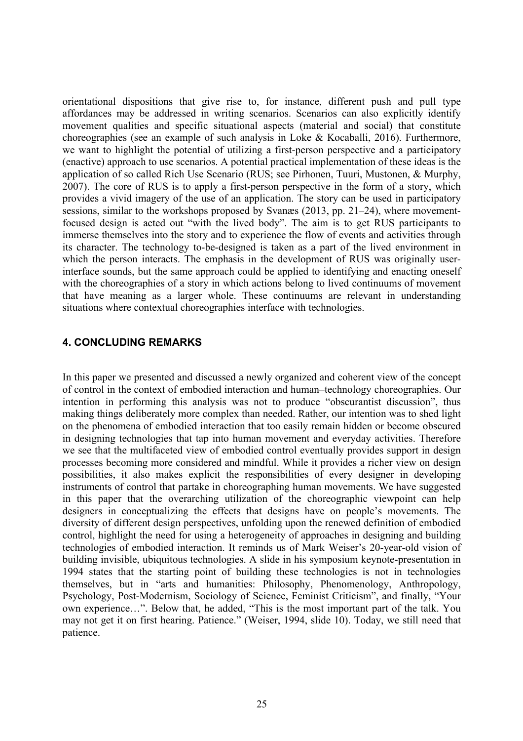orientational dispositions that give rise to, for instance, different push and pull type affordances may be addressed in writing scenarios. Scenarios can also explicitly identify movement qualities and specific situational aspects (material and social) that constitute choreographies (see an example of such analysis in Loke & Kocaballi, 2016). Furthermore, we want to highlight the potential of utilizing a first-person perspective and a participatory (enactive) approach to use scenarios. A potential practical implementation of these ideas is the application of so called Rich Use Scenario (RUS; see Pirhonen, Tuuri, Mustonen, & Murphy, 2007). The core of RUS is to apply a first-person perspective in the form of a story, which provides a vivid imagery of the use of an application. The story can be used in participatory sessions, similar to the workshops proposed by Svanæs (2013, pp. 21–24), where movementfocused design is acted out "with the lived body". The aim is to get RUS participants to immerse themselves into the story and to experience the flow of events and activities through its character. The technology to-be-designed is taken as a part of the lived environment in which the person interacts. The emphasis in the development of RUS was originally userinterface sounds, but the same approach could be applied to identifying and enacting oneself with the choreographies of a story in which actions belong to lived continuums of movement that have meaning as a larger whole. These continuums are relevant in understanding situations where contextual choreographies interface with technologies.

### **4. CONCLUDING REMARKS**

In this paper we presented and discussed a newly organized and coherent view of the concept of control in the context of embodied interaction and human–technology choreographies. Our intention in performing this analysis was not to produce "obscurantist discussion", thus making things deliberately more complex than needed. Rather, our intention was to shed light on the phenomena of embodied interaction that too easily remain hidden or become obscured in designing technologies that tap into human movement and everyday activities. Therefore we see that the multifaceted view of embodied control eventually provides support in design processes becoming more considered and mindful. While it provides a richer view on design possibilities, it also makes explicit the responsibilities of every designer in developing instruments of control that partake in choreographing human movements. We have suggested in this paper that the overarching utilization of the choreographic viewpoint can help designers in conceptualizing the effects that designs have on people's movements. The diversity of different design perspectives, unfolding upon the renewed definition of embodied control, highlight the need for using a heterogeneity of approaches in designing and building technologies of embodied interaction. It reminds us of Mark Weiser's 20-year-old vision of building invisible, ubiquitous technologies. A slide in his symposium keynote-presentation in 1994 states that the starting point of building these technologies is not in technologies themselves, but in "arts and humanities: Philosophy, Phenomenology, Anthropology, Psychology, Post-Modernism, Sociology of Science, Feminist Criticism", and finally, "Your own experience…". Below that, he added, "This is the most important part of the talk. You may not get it on first hearing. Patience." (Weiser, 1994, slide 10). Today, we still need that patience.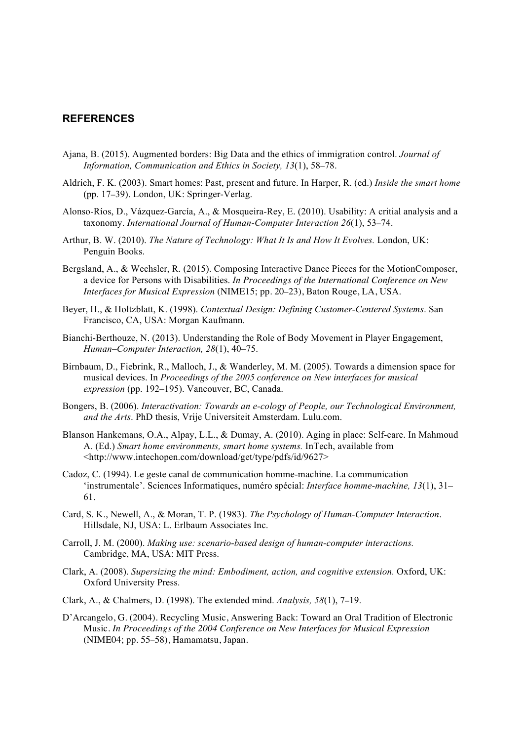#### **REFERENCES**

- Ajana, B. (2015). Augmented borders: Big Data and the ethics of immigration control. *Journal of Information, Communication and Ethics in Society, 13*(1), 58–78.
- Aldrich, F. K. (2003). Smart homes: Past, present and future. In Harper, R. (ed.) *Inside the smart home* (pp. 17–39). London, UK: Springer-Verlag.
- Alonso-Ríos, D., Vázquez-García, A., & Mosqueira-Rey, E. (2010). Usability: A critial analysis and a taxonomy. *International Journal of Human-Computer Interaction 26*(1), 53–74.
- Arthur, B. W. (2010). *The Nature of Technology: What It Is and How It Evolves.* London, UK: Penguin Books.
- Bergsland, A., & Wechsler, R. (2015). Composing Interactive Dance Pieces for the MotionComposer, a device for Persons with Disabilities. *In Proceedings of the International Conference on New Interfaces for Musical Expression* (NIME15; pp. 20–23), Baton Rouge, LA, USA.
- Beyer, H., & Holtzblatt, K. (1998). *Contextual Design: Defining Customer-Centered Systems*. San Francisco, CA, USA: Morgan Kaufmann.
- Bianchi-Berthouze, N. (2013). Understanding the Role of Body Movement in Player Engagement, *Human–Computer Interaction, 28*(1), 40*–*75.
- Birnbaum, D., Fiebrink, R., Malloch, J., & Wanderley, M. M. (2005). Towards a dimension space for musical devices. In *Proceedings of the 2005 conference on New interfaces for musical expression* (pp. 192*–*195). Vancouver, BC, Canada.
- Bongers, B. (2006). *Interactivation: Towards an e-cology of People, our Technological Environment, and the Arts*. PhD thesis, Vrije Universiteit Amsterdam. Lulu.com.
- Blanson Hankemans, O.A., Alpay, L.L., & Dumay, A. (2010). Aging in place: Self-care. In Mahmoud A. (Ed.) *Smart home environments, smart home systems.* InTech, available from <http://www.intechopen.com/download/get/type/pdfs/id/9627>
- Cadoz, C. (1994). Le geste canal de communication homme-machine. La communication 'instrumentale'. Sciences Informatiques, numéro spécial: *Interface homme-machine, 13*(1), 31– 61.
- Card, S. K., Newell, A., & Moran, T. P. (1983). *The Psychology of Human-Computer Interaction*. Hillsdale, NJ, USA: L. Erlbaum Associates Inc.
- Carroll, J. M. (2000). *Making use: scenario-based design of human-computer interactions.* Cambridge, MA, USA: MIT Press.
- Clark, A. (2008). *Supersizing the mind: Embodiment, action, and cognitive extension.* Oxford, UK: Oxford University Press.
- Clark, A., & Chalmers, D. (1998). The extended mind. *Analysis, 58*(1), 7–19.
- D'Arcangelo, G. (2004). Recycling Music, Answering Back: Toward an Oral Tradition of Electronic Music. *In Proceedings of the 2004 Conference on New Interfaces for Musical Expression*  (NIME04; pp. 55–58), Hamamatsu, Japan.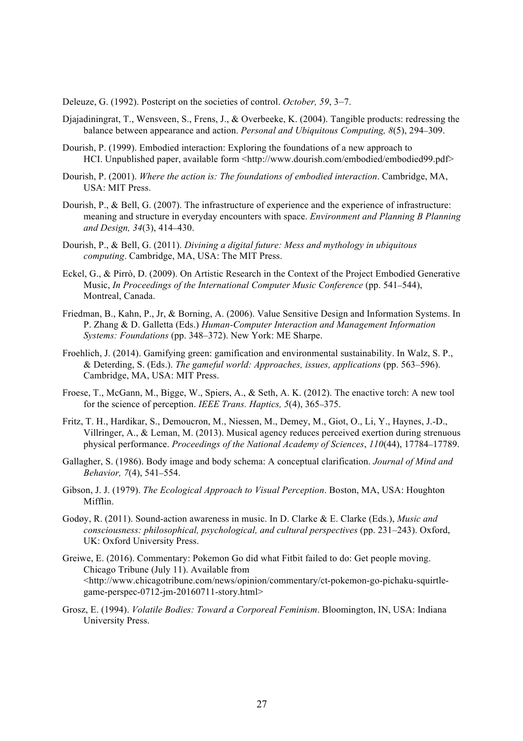Deleuze, G. (1992). Postcript on the societies of control. *October, 59*, 3–7.

- Djajadiningrat, T., Wensveen, S., Frens, J., & Overbeeke, K. (2004). Tangible products: redressing the balance between appearance and action. *Personal and Ubiquitous Computing, 8*(5), 294–309.
- Dourish, P. (1999). Embodied interaction: Exploring the foundations of a new approach to HCI. Unpublished paper, available form <http://www.dourish.com/embodied/embodied99.pdf>
- Dourish, P. (2001). *Where the action is: The foundations of embodied interaction*. Cambridge, MA, USA: MIT Press.
- Dourish, P., & Bell, G. (2007). The infrastructure of experience and the experience of infrastructure: meaning and structure in everyday encounters with space. *Environment and Planning B Planning and Design, 34*(3), 414–430.
- Dourish, P., & Bell, G. (2011). *Divining a digital future: Mess and mythology in ubiquitous computing*. Cambridge, MA, USA: The MIT Press.
- Eckel, G., & Pirrò, D. (2009). On Artistic Research in the Context of the Project Embodied Generative Music, *In Proceedings of the International Computer Music Conference* (pp. 541–544), Montreal, Canada.
- Friedman, B., Kahn, P., Jr, & Borning, A. (2006). Value Sensitive Design and Information Systems. In P. Zhang & D. Galletta (Eds.) *Human-Computer Interaction and Management Information Systems: Foundations* (pp. 348–372). New York: ME Sharpe.
- Froehlich, J. (2014). Gamifying green: gamification and environmental sustainability. In Walz, S. P., & Deterding, S. (Eds.). *The gameful world: Approaches, issues, applications* (pp. 563–596). Cambridge, MA, USA: MIT Press.
- Froese, T., McGann, M., Bigge, W., Spiers, A., & Seth, A. K. (2012). The enactive torch: A new tool for the science of perception. *IEEE Trans. Haptics, 5*(4), 365–375.
- Fritz, T. H., Hardikar, S., Demoucron, M., Niessen, M., Demey, M., Giot, O., Li, Y., Haynes, J.-D., Villringer, A., & Leman, M. (2013). Musical agency reduces perceived exertion during strenuous physical performance. *Proceedings of the National Academy of Sciences*, *110*(44), 17784–17789.
- Gallagher, S. (1986). Body image and body schema: A conceptual clarification. *Journal of Mind and Behavior, 7*(4), 541–554.
- Gibson, J. J. (1979). *The Ecological Approach to Visual Perception*. Boston, MA, USA: Houghton Mifflin.
- Godøy, R. (2011). Sound-action awareness in music. In D. Clarke & E. Clarke (Eds.), *Music and consciousness: philosophical, psychological, and cultural perspectives* (pp. 231–243). Oxford, UK: Oxford University Press.
- Greiwe, E. (2016). Commentary: Pokemon Go did what Fitbit failed to do: Get people moving. Chicago Tribune (July 11). Available from <http://www.chicagotribune.com/news/opinion/commentary/ct-pokemon-go-pichaku-squirtlegame-perspec-0712-jm-20160711-story.html>
- Grosz, E. (1994). *Volatile Bodies: Toward a Corporeal Feminism*. Bloomington, IN, USA: Indiana University Press.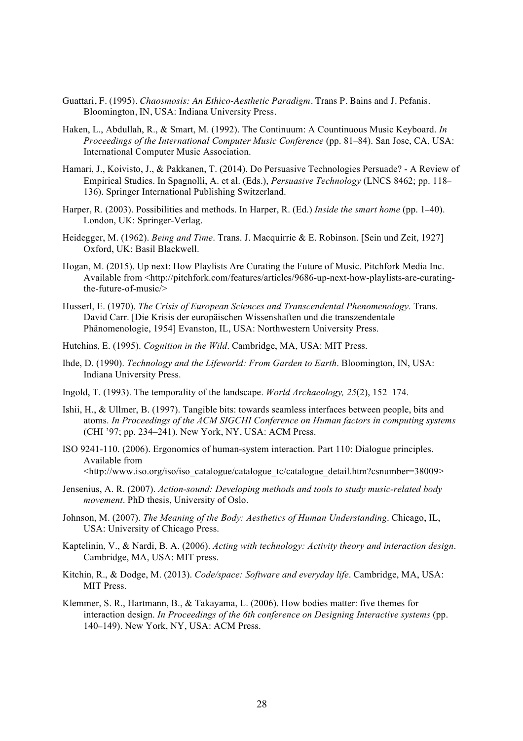- Guattari, F. (1995). *Chaosmosis: An Ethico-Aesthetic Paradigm*. Trans P. Bains and J. Pefanis. Bloomington, IN, USA: Indiana University Press.
- Haken, L., Abdullah, R., & Smart, M. (1992). The Continuum: A Countinuous Music Keyboard. *In Proceedings of the International Computer Music Conference* (pp. 81–84). San Jose, CA, USA: International Computer Music Association.
- Hamari, J., Koivisto, J., & Pakkanen, T. (2014). Do Persuasive Technologies Persuade? A Review of Empirical Studies. In Spagnolli, A. et al. (Eds.), *Persuasive Technology* (LNCS 8462; pp. 118– 136). Springer International Publishing Switzerland.
- Harper, R. (2003). Possibilities and methods. In Harper, R. (Ed.) *Inside the smart home* (pp. 1–40). London, UK: Springer-Verlag.
- Heidegger, M. (1962). *Being and Time*. Trans. J. Macquirrie & E. Robinson. [Sein und Zeit, 1927] Oxford, UK: Basil Blackwell.
- Hogan, M. (2015). Up next: How Playlists Are Curating the Future of Music. Pitchfork Media Inc. Available from <http://pitchfork.com/features/articles/9686-up-next-how-playlists-are-curatingthe-future-of-music/>
- Husserl, E. (1970). *The Crisis of European Sciences and Transcendental Phenomenology*. Trans. David Carr. [Die Krisis der europäischen Wissenshaften und die transzendentale Phänomenologie, 1954] Evanston, IL, USA: Northwestern University Press.
- Hutchins, E. (1995). *Cognition in the Wild*. Cambridge, MA, USA: MIT Press.
- Ihde, D. (1990). *Technology and the Lifeworld: From Garden to Earth*. Bloomington, IN, USA: Indiana University Press.
- Ingold, T. (1993). The temporality of the landscape. *World Archaeology, 25*(2), 152–174.
- Ishii, H., & Ullmer, B. (1997). Tangible bits: towards seamless interfaces between people, bits and atoms. *In Proceedings of the ACM SIGCHI Conference on Human factors in computing systems* (CHI '97; pp. 234*–*241). New York, NY, USA: ACM Press.
- ISO 9241-110. (2006). Ergonomics of human-system interaction. Part 110: Dialogue principles. Available from  $\text{64}$  //www.iso.org/iso/iso\_catalogue/catalogue\_tc/catalogue\_detail.htm?csnumber=38009>
- Jensenius, A. R. (2007). *Action-sound: Developing methods and tools to study music-related body movement*. PhD thesis, University of Oslo.
- Johnson, M. (2007). *The Meaning of the Body: Aesthetics of Human Understanding*. Chicago, IL, USA: University of Chicago Press.
- Kaptelinin, V., & Nardi, B. A. (2006). *Acting with technology: Activity theory and interaction design*. Cambridge, MA, USA: MIT press.
- Kitchin, R., & Dodge, M. (2013). *Code/space: Software and everyday life*. Cambridge, MA, USA: MIT Press.
- Klemmer, S. R., Hartmann, B., & Takayama, L. (2006). How bodies matter: five themes for interaction design. *In Proceedings of the 6th conference on Designing Interactive systems* (pp. 140–149). New York, NY, USA: ACM Press.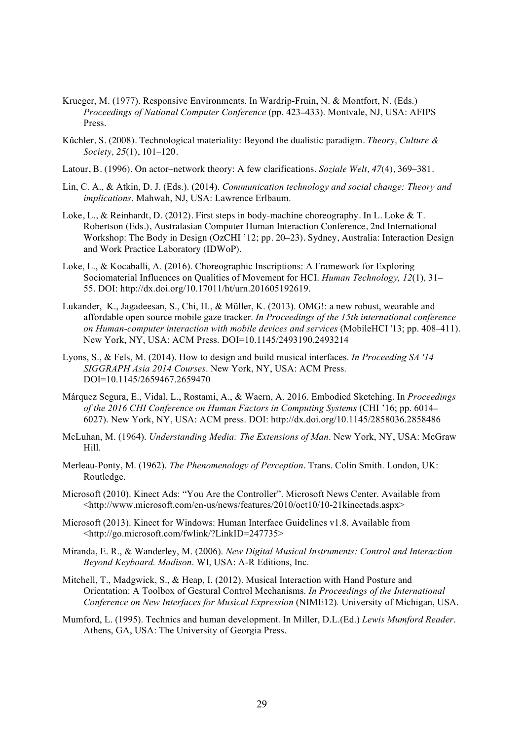- Krueger, M. (1977). Responsive Environments. In Wardrip-Fruin, N. & Montfort, N. (Eds.) *Proceedings of National Computer Conference* (pp. 423–433). Montvale, NJ, USA: AFIPS Press.
- Kûchler, S. (2008). Technological materiality: Beyond the dualistic paradigm. *Theory, Culture & Society, 25*(1), 101–120.
- Latour, B. (1996). On actor–network theory: A few clarifications. *Soziale Welt, 47*(4), 369–381.
- Lin, C. A., & Atkin, D. J. (Eds.). (2014). *Communication technology and social change: Theory and implications*. Mahwah, NJ, USA: Lawrence Erlbaum.
- Loke, L., & Reinhardt, D. (2012). First steps in body-machine choreography. In L. Loke & T. Robertson (Eds.), Australasian Computer Human Interaction Conference, 2nd International Workshop: The Body in Design (OzCHI '12; pp. 20–23). Sydney, Australia: Interaction Design and Work Practice Laboratory (IDWoP).
- Loke, L., & Kocaballi, A. (2016). Choreographic Inscriptions: A Framework for Exploring Sociomaterial Influences on Qualities of Movement for HCI. *Human Technology, 12*(1), 31– 55. DOI: http://dx.doi.org/10.17011/ht/urn.201605192619.
- Lukander, K., Jagadeesan, S., Chi, H., & Müller, K. (2013). OMG!: a new robust, wearable and affordable open source mobile gaze tracker. *In Proceedings of the 15th international conference on Human-computer interaction with mobile devices and services* (MobileHCI '13; pp. 408–411). New York, NY, USA: ACM Press. DOI=10.1145/2493190.2493214
- Lyons, S., & Fels, M. (2014). How to design and build musical interfaces. *In Proceeding SA '14 SIGGRAPH Asia 2014 Courses*. New York, NY, USA: ACM Press. DOI=10.1145/2659467.2659470
- Márquez Segura, E., Vidal, L., Rostami, A., & Waern, A. 2016. Embodied Sketching. In *Proceedings of the 2016 CHI Conference on Human Factors in Computing Systems* (CHI '16; pp. 6014– 6027). New York, NY, USA: ACM press. DOI: http://dx.doi.org/10.1145/2858036.2858486
- McLuhan, M. (1964). *Understanding Media: The Extensions of Man*. New York, NY, USA: McGraw Hill.
- Merleau-Ponty, M. (1962). *The Phenomenology of Perception*. Trans. Colin Smith. London, UK: Routledge.
- Microsoft (2010). Kinect Ads: "You Are the Controller". Microsoft News Center. Available from <http://www.microsoft.com/en-us/news/features/2010/oct10/10-21kinectads.aspx>
- Microsoft (2013). Kinect for Windows: Human Interface Guidelines v1.8. Available from <http://go.microsoft.com/fwlink/?LinkID=247735>
- Miranda, E. R., & Wanderley, M. (2006). *New Digital Musical Instruments: Control and Interaction Beyond Keyboard. Madison*. WI, USA: A-R Editions, Inc.
- Mitchell, T., Madgwick, S., & Heap, I. (2012). Musical Interaction with Hand Posture and Orientation: A Toolbox of Gestural Control Mechanisms. *In Proceedings of the International Conference on New Interfaces for Musical Expression* (NIME12)*.* University of Michigan, USA.
- Mumford, L. (1995). Technics and human development. In Miller, D.L.(Ed.) *Lewis Mumford Reader*. Athens, GA, USA: The University of Georgia Press.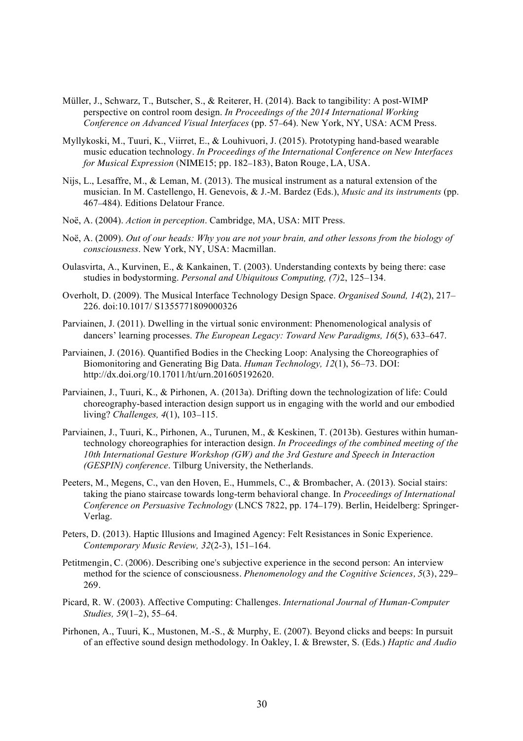- Müller, J., Schwarz, T., Butscher, S., & Reiterer, H. (2014). Back to tangibility: A post-WIMP perspective on control room design. *In Proceedings of the 2014 International Working Conference on Advanced Visual Interfaces* (pp. 57–64). New York, NY, USA: ACM Press.
- Myllykoski, M., Tuuri, K., Viirret, E., & Louhivuori, J. (2015). Prototyping hand-based wearable music education technology. *In Proceedings of the International Conference on New Interfaces for Musical Expression* (NIME15; pp. 182–183), Baton Rouge, LA, USA.
- Nijs, L., Lesaffre, M., & Leman, M. (2013). The musical instrument as a natural extension of the musician. In M. Castellengo, H. Genevois, & J.-M. Bardez (Eds.), *Music and its instruments* (pp. 467–484). Editions Delatour France.
- Noë, A. (2004). *Action in perception*. Cambridge, MA, USA: MIT Press.
- Noë, A. (2009). *Out of our heads: Why you are not your brain, and other lessons from the biology of consciousness*. New York, NY, USA: Macmillan.
- Oulasvirta, A., Kurvinen, E., & Kankainen, T. (2003). Understanding contexts by being there: case studies in bodystorming. *Personal and Ubiquitous Computing, (7)*2, 125–134.
- Overholt, D. (2009). The Musical Interface Technology Design Space. *Organised Sound, 14*(2), 217– 226. doi:10.1017/ S1355771809000326
- Parviainen, J. (2011). Dwelling in the virtual sonic environment: Phenomenological analysis of dancers' learning processes. *The European Legacy: Toward New Paradigms, 16*(5), 633–647.
- Parviainen, J. (2016). Quantified Bodies in the Checking Loop: Analysing the Choreographies of Biomonitoring and Generating Big Data. *Human Technology, 12*(1), 56–73. DOI: http://dx.doi.org/10.17011/ht/urn.201605192620.
- Parviainen, J., Tuuri, K., & Pirhonen, A. (2013a). Drifting down the technologization of life: Could choreography-based interaction design support us in engaging with the world and our embodied living? *Challenges, 4*(1), 103–115.
- Parviainen, J., Tuuri, K., Pirhonen, A., Turunen, M., & Keskinen, T. (2013b). Gestures within humantechnology choreographies for interaction design. *In Proceedings of the combined meeting of the 10th International Gesture Workshop (GW) and the 3rd Gesture and Speech in Interaction (GESPIN) conference*. Tilburg University, the Netherlands.
- Peeters, M., Megens, C., van den Hoven, E., Hummels, C., & Brombacher, A. (2013). Social stairs: taking the piano staircase towards long-term behavioral change. In *Proceedings of International Conference on Persuasive Technology* (LNCS 7822, pp. 174–179). Berlin, Heidelberg: Springer-Verlag.
- Peters, D. (2013). Haptic Illusions and Imagined Agency: Felt Resistances in Sonic Experience. *Contemporary Music Review, 32*(2-3), 151–164.
- Petitmengin, C. (2006). Describing one's subjective experience in the second person: An interview method for the science of consciousness. *Phenomenology and the Cognitive Sciences, 5*(3), 229– 269.
- Picard, R. W. (2003). Affective Computing: Challenges. *International Journal of Human-Computer Studies, 59*(1–2), 55–64.
- Pirhonen, A., Tuuri, K., Mustonen, M.-S., & Murphy, E. (2007). Beyond clicks and beeps: In pursuit of an effective sound design methodology. In Oakley, I. & Brewster, S. (Eds.) *Haptic and Audio*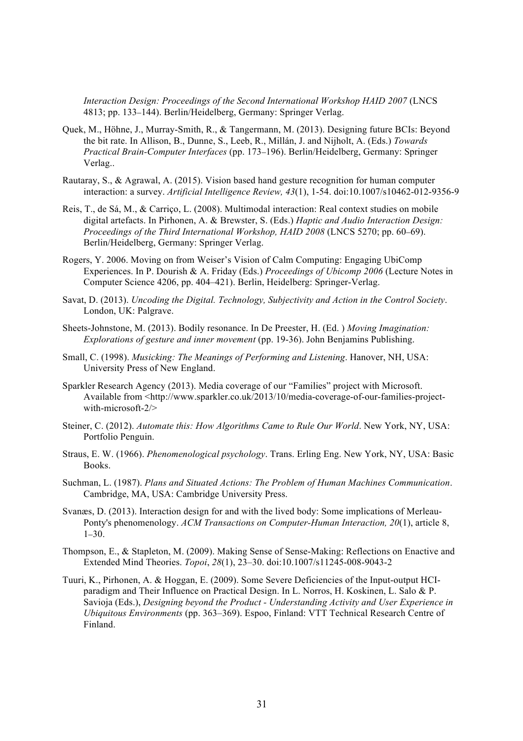*Interaction Design: Proceedings of the Second International Workshop HAID 2007* (LNCS 4813; pp. 133–144). Berlin/Heidelberg, Germany: Springer Verlag.

- Quek, M., Höhne, J., Murray-Smith, R., & Tangermann, M. (2013). Designing future BCIs: Beyond the bit rate. In Allison, B., Dunne, S., Leeb, R., Millán, J. and Nijholt, A. (Eds.) *Towards Practical Brain-Computer Interfaces* (pp. 173–196). Berlin/Heidelberg, Germany: Springer Verlag..
- Rautaray, S., & Agrawal, A. (2015). Vision based hand gesture recognition for human computer interaction: a survey. *Artificial Intelligence Review, 43*(1), 1-54. doi:10.1007/s10462-012-9356-9
- Reis, T., de Sá, M., & Carriço, L. (2008). Multimodal interaction: Real context studies on mobile digital artefacts. In Pirhonen, A. & Brewster, S. (Eds.) *Haptic and Audio Interaction Design: Proceedings of the Third International Workshop, HAID 2008* (LNCS 5270; pp. 60–69). Berlin/Heidelberg, Germany: Springer Verlag.
- Rogers, Y. 2006. Moving on from Weiser's Vision of Calm Computing: Engaging UbiComp Experiences. In P. Dourish & A. Friday (Eds.) *Proceedings of Ubicomp 2006* (Lecture Notes in Computer Science 4206, pp. 404–421). Berlin, Heidelberg: Springer-Verlag.
- Savat, D. (2013). *Uncoding the Digital. Technology, Subjectivity and Action in the Control Society*. London, UK: Palgrave.
- Sheets-Johnstone, M. (2013). Bodily resonance. In De Preester, H. (Ed. ) *Moving Imagination: Explorations of gesture and inner movement* (pp. 19-36). John Benjamins Publishing.
- Small, C. (1998). *Musicking: The Meanings of Performing and Listening*. Hanover, NH, USA: University Press of New England.
- Sparkler Research Agency (2013). Media coverage of our "Families" project with Microsoft. Available from <http://www.sparkler.co.uk/2013/10/media-coverage-of-our-families-projectwith-microsoft-2/>
- Steiner, C. (2012). *Automate this: How Algorithms Came to Rule Our World*. New York, NY, USA: Portfolio Penguin.
- Straus, E. W. (1966). *Phenomenological psychology*. Trans. Erling Eng. New York, NY, USA: Basic Books.
- Suchman, L. (1987). *Plans and Situated Actions: The Problem of Human Machines Communication*. Cambridge, MA, USA: Cambridge University Press.
- Svanæs, D. (2013). Interaction design for and with the lived body: Some implications of Merleau-Ponty's phenomenology. *ACM Transactions on Computer-Human Interaction, 20*(1), article 8,  $1-30.$
- Thompson, E., & Stapleton, M. (2009). Making Sense of Sense-Making: Reflections on Enactive and Extended Mind Theories. *Topoi*, *28*(1), 23–30. doi:10.1007/s11245-008-9043-2
- Tuuri, K., Pirhonen, A. & Hoggan, E. (2009). Some Severe Deficiencies of the Input-output HCIparadigm and Their Influence on Practical Design. In L. Norros, H. Koskinen, L. Salo & P. Savioja (Eds.), *Designing beyond the Product - Understanding Activity and User Experience in Ubiquitous Environments* (pp. 363–369). Espoo, Finland: VTT Technical Research Centre of Finland.